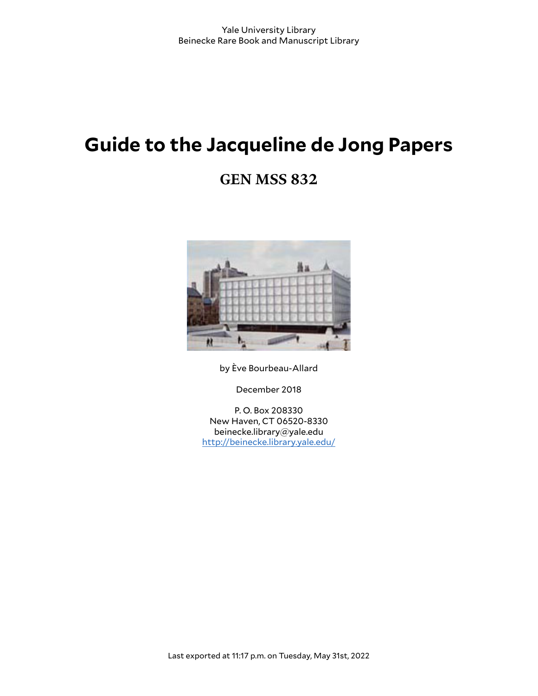# **Guide to the Jacqueline de Jong Papers**

# **GEN MSS 832**



by Ève Bourbeau-Allard

December 2018

P. O. Box 208330 New Haven, CT 06520-8330 beinecke.library@yale.edu <http://beinecke.library.yale.edu/>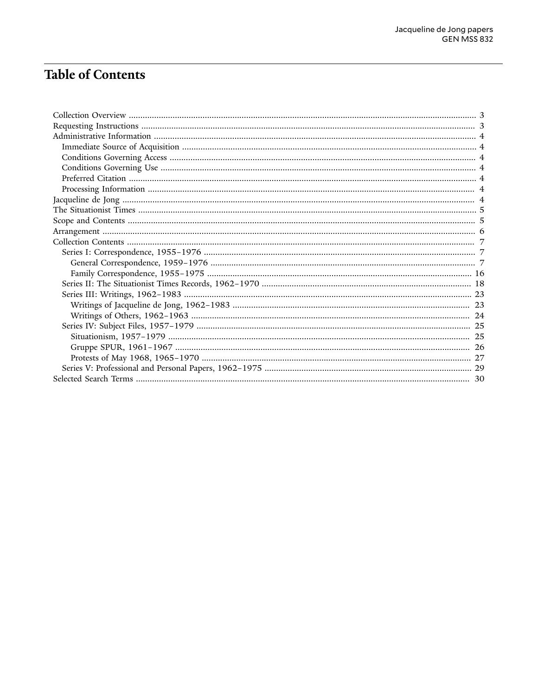# **Table of Contents**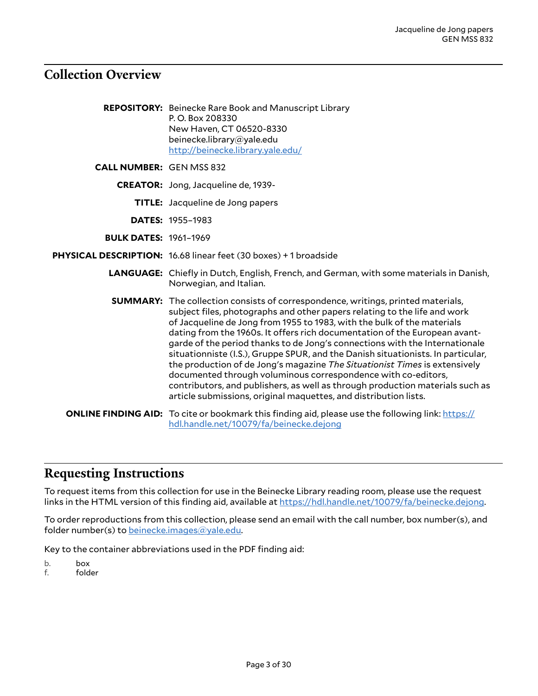## <span id="page-2-0"></span>**Collection Overview**

| <b>REPOSITORY:</b> Beinecke Rare Book and Manuscript Library |
|--------------------------------------------------------------|
| P.O. Box 208330                                              |
| New Haven, CT 06520-8330                                     |
| beinecke.library@yale.edu                                    |
| http://beinecke.library.yale.edu/                            |

**CALL NUMBER:** GEN MSS 832

- **CREATOR:** Jong, Jacqueline de, 1939-
	- **TITLE:** Jacqueline de Jong papers
	- **DATES:** 1955–1983
- **BULK DATES:** 1961–1969
- **PHYSICAL DESCRIPTION:** 16.68 linear feet (30 boxes) + 1 broadside
	- **LANGUAGE:** Chiefly in Dutch, English, French, and German, with some materials in Danish, Norwegian, and Italian.
	- **SUMMARY:** The collection consists of correspondence, writings, printed materials, subject files, photographs and other papers relating to the life and work of Jacqueline de Jong from 1955 to 1983, with the bulk of the materials dating from the 1960s. It offers rich documentation of the European avantgarde of the period thanks to de Jong's connections with the Internationale situationniste (I.S.), Gruppe SPUR, and the Danish situationists. In particular, the production of de Jong's magazine *The Situationist Times* is extensively documented through voluminous correspondence with co-editors, contributors, and publishers, as well as through production materials such as article submissions, original maquettes, and distribution lists.
	- **ONLINE FINDING AID:** To cite or bookmark this finding aid, please use the following link: [https://](https://hdl.handle.net/10079/fa/beinecke.dejong) [hdl.handle.net/10079/fa/beinecke.dejong](https://hdl.handle.net/10079/fa/beinecke.dejong)

### <span id="page-2-1"></span>**Requesting Instructions**

To request items from this collection for use in the Beinecke Library reading room, please use the request links in the HTML version of this finding aid, available at <https://hdl.handle.net/10079/fa/beinecke.dejong>.

To order reproductions from this collection, please send an email with the call number, box number(s), and folder number(s) to [beinecke.images@yale.edu.](mailto:beinecke.images@yale.edu)

Key to the container abbreviations used in the PDF finding aid:

b. box

f. folder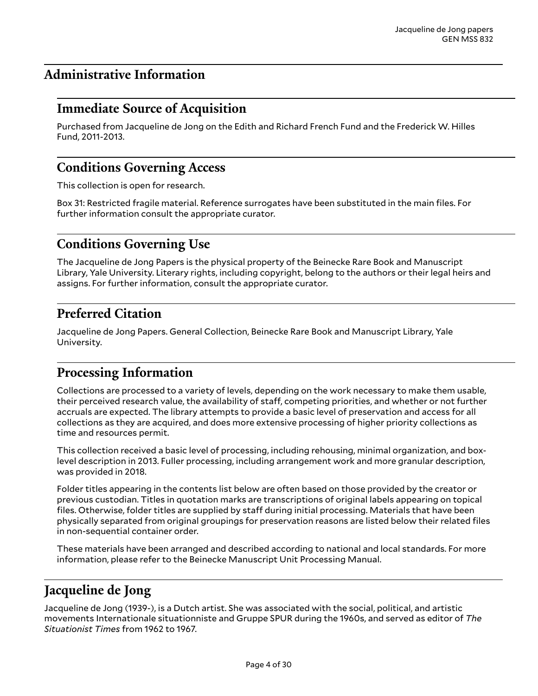# <span id="page-3-0"></span>**Administrative Information**

# <span id="page-3-1"></span>**Immediate Source of Acquisition**

Purchased from Jacqueline de Jong on the Edith and Richard French Fund and the Frederick W. Hilles Fund, 2011-2013.

# <span id="page-3-2"></span>**Conditions Governing Access**

This collection is open for research.

Box 31: Restricted fragile material. Reference surrogates have been substituted in the main files. For further information consult the appropriate curator.

# <span id="page-3-3"></span>**Conditions Governing Use**

The Jacqueline de Jong Papers is the physical property of the Beinecke Rare Book and Manuscript Library, Yale University. Literary rights, including copyright, belong to the authors or their legal heirs and assigns. For further information, consult the appropriate curator.

# <span id="page-3-4"></span>**Preferred Citation**

Jacqueline de Jong Papers. General Collection, Beinecke Rare Book and Manuscript Library, Yale University.

# <span id="page-3-5"></span>**Processing Information**

Collections are processed to a variety of levels, depending on the work necessary to make them usable, their perceived research value, the availability of staff, competing priorities, and whether or not further accruals are expected. The library attempts to provide a basic level of preservation and access for all collections as they are acquired, and does more extensive processing of higher priority collections as time and resources permit.

This collection received a basic level of processing, including rehousing, minimal organization, and boxlevel description in 2013. Fuller processing, including arrangement work and more granular description, was provided in 2018.

Folder titles appearing in the contents list below are often based on those provided by the creator or previous custodian. Titles in quotation marks are transcriptions of original labels appearing on topical files. Otherwise, folder titles are supplied by staff during initial processing. Materials that have been physically separated from original groupings for preservation reasons are listed below their related files in non-sequential container order.

These materials have been arranged and described according to national and local standards. For more information, please refer to the Beinecke Manuscript Unit Processing Manual.

# <span id="page-3-6"></span>**Jacqueline de Jong**

Jacqueline de Jong (1939-), is a Dutch artist. She was associated with the social, political, and artistic movements Internationale situationniste and Gruppe SPUR during the 1960s, and served as editor of *The Situationist Times* from 1962 to 1967.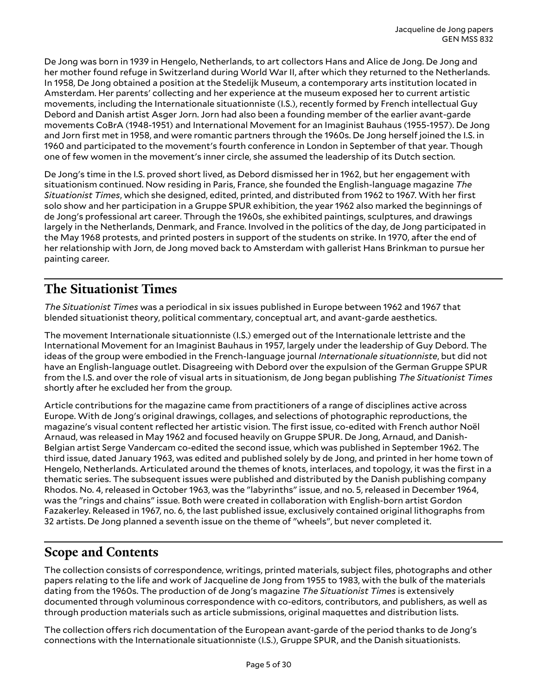De Jong was born in 1939 in Hengelo, Netherlands, to art collectors Hans and Alice de Jong. De Jong and her mother found refuge in Switzerland during World War II, after which they returned to the Netherlands. In 1958, De Jong obtained a position at the Stedelijk Museum, a contemporary arts institution located in Amsterdam. Her parents' collecting and her experience at the museum exposed her to current artistic movements, including the Internationale situationniste (I.S.), recently formed by French intellectual Guy Debord and Danish artist Asger Jorn. Jorn had also been a founding member of the earlier avant-garde movements CoBrA (1948-1951) and International Movement for an Imaginist Bauhaus (1955-1957). De Jong and Jorn first met in 1958, and were romantic partners through the 1960s. De Jong herself joined the I.S. in 1960 and participated to the movement's fourth conference in London in September of that year. Though one of few women in the movement's inner circle, she assumed the leadership of its Dutch section.

De Jong's time in the I.S. proved short lived, as Debord dismissed her in 1962, but her engagement with situationism continued. Now residing in Paris, France, she founded the English-language magazine *The Situationist Times*, which she designed, edited, printed, and distributed from 1962 to 1967. With her first solo show and her participation in a Gruppe SPUR exhibition, the year 1962 also marked the beginnings of de Jong's professional art career. Through the 1960s, she exhibited paintings, sculptures, and drawings largely in the Netherlands, Denmark, and France. Involved in the politics of the day, de Jong participated in the May 1968 protests, and printed posters in support of the students on strike. In 1970, after the end of her relationship with Jorn, de Jong moved back to Amsterdam with gallerist Hans Brinkman to pursue her painting career.

# <span id="page-4-0"></span>**The Situationist Times**

*The Situationist Times* was a periodical in six issues published in Europe between 1962 and 1967 that blended situationist theory, political commentary, conceptual art, and avant-garde aesthetics.

The movement Internationale situationniste (I.S.) emerged out of the Internationale lettriste and the International Movement for an Imaginist Bauhaus in 1957, largely under the leadership of Guy Debord. The ideas of the group were embodied in the French-language journal *Internationale situationniste*, but did not have an English-language outlet. Disagreeing with Debord over the expulsion of the German Gruppe SPUR from the I.S. and over the role of visual arts in situationism, de Jong began publishing *The Situationist Times* shortly after he excluded her from the group.

Article contributions for the magazine came from practitioners of a range of disciplines active across Europe. With de Jong's original drawings, collages, and selections of photographic reproductions, the magazine's visual content reflected her artistic vision. The first issue, co-edited with French author Noël Arnaud, was released in May 1962 and focused heavily on Gruppe SPUR. De Jong, Arnaud, and Danish-Belgian artist Serge Vandercam co-edited the second issue, which was published in September 1962. The third issue, dated January 1963, was edited and published solely by de Jong, and printed in her home town of Hengelo, Netherlands. Articulated around the themes of knots, interlaces, and topology, it was the first in a thematic series. The subsequent issues were published and distributed by the Danish publishing company Rhodos. No. 4, released in October 1963, was the "labyrinths" issue, and no. 5, released in December 1964, was the "rings and chains" issue. Both were created in collaboration with English-born artist Gordon Fazakerley. Released in 1967, no. 6, the last published issue, exclusively contained original lithographs from 32 artists. De Jong planned a seventh issue on the theme of "wheels", but never completed it.

# <span id="page-4-1"></span>**Scope and Contents**

The collection consists of correspondence, writings, printed materials, subject files, photographs and other papers relating to the life and work of Jacqueline de Jong from 1955 to 1983, with the bulk of the materials dating from the 1960s. The production of de Jong's magazine *The Situationist Times* is extensively documented through voluminous correspondence with co-editors, contributors, and publishers, as well as through production materials such as article submissions, original maquettes and distribution lists.

The collection offers rich documentation of the European avant-garde of the period thanks to de Jong's connections with the Internationale situationniste (I.S.), Gruppe SPUR, and the Danish situationists.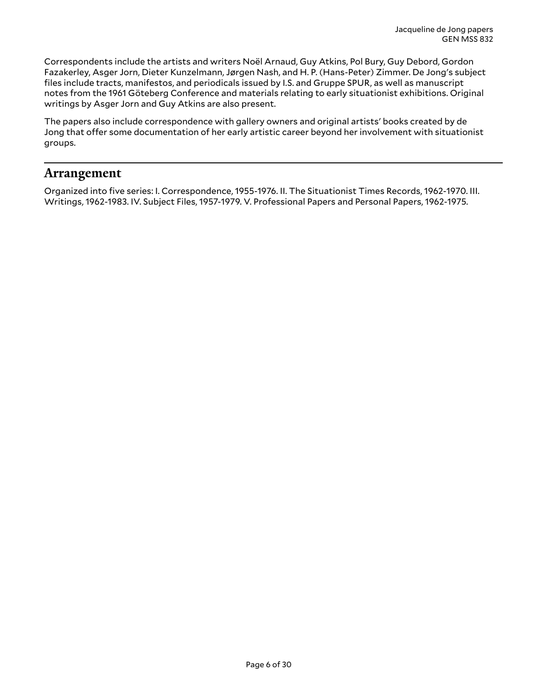Correspondents include the artists and writers Noël Arnaud, Guy Atkins, Pol Bury, Guy Debord, Gordon Fazakerley, Asger Jorn, Dieter Kunzelmann, Jørgen Nash, and H. P. (Hans-Peter) Zimmer. De Jong's subject files include tracts, manifestos, and periodicals issued by I.S. and Gruppe SPUR, as well as manuscript notes from the 1961 Göteberg Conference and materials relating to early situationist exhibitions. Original writings by Asger Jorn and Guy Atkins are also present.

The papers also include correspondence with gallery owners and original artists' books created by de Jong that offer some documentation of her early artistic career beyond her involvement with situationist groups.

### <span id="page-5-0"></span>**Arrangement**

Organized into five series: I. Correspondence, 1955-1976. II. The Situationist Times Records, 1962-1970. III. Writings, 1962-1983. IV. Subject Files, 1957-1979. V. Professional Papers and Personal Papers, 1962-1975.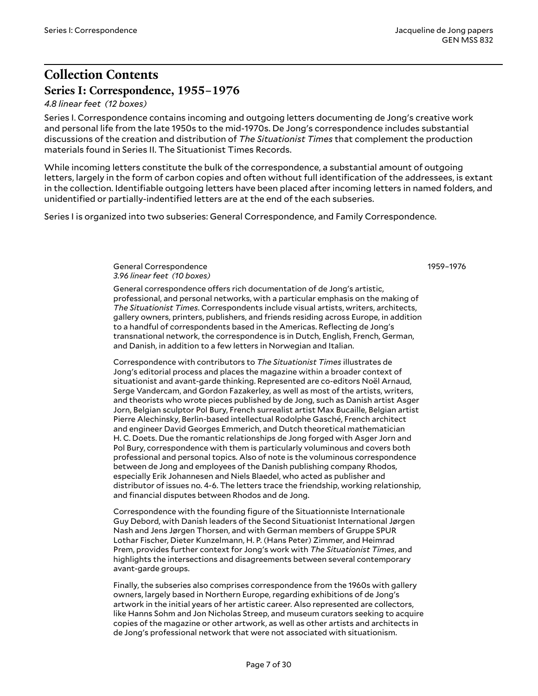1959–1976

# <span id="page-6-0"></span>**Collection Contents Series I: Correspondence, 1955–1976**

#### <span id="page-6-1"></span>*4.8 linear feet (12 boxes)*

Series I. Correspondence contains incoming and outgoing letters documenting de Jong's creative work and personal life from the late 1950s to the mid-1970s. De Jong's correspondence includes substantial discussions of the creation and distribution of *The Situationist Times* that complement the production materials found in Series II. The Situationist Times Records.

While incoming letters constitute the bulk of the correspondence, a substantial amount of outgoing letters, largely in the form of carbon copies and often without full identification of the addressees, is extant in the collection. Identifiable outgoing letters have been placed after incoming letters in named folders, and unidentified or partially-indentified letters are at the end of the each subseries.

Series I is organized into two subseries: General Correspondence, and Family Correspondence.

<span id="page-6-2"></span>General Correspondence *3.96 linear feet (10 boxes)*

General correspondence offers rich documentation of de Jong's artistic, professional, and personal networks, with a particular emphasis on the making of *The Situationist Times*. Correspondents include visual artists, writers, architects, gallery owners, printers, publishers, and friends residing across Europe, in addition to a handful of correspondents based in the Americas. Reflecting de Jong's transnational network, the correspondence is in Dutch, English, French, German, and Danish, in addition to a few letters in Norwegian and Italian.

Correspondence with contributors to *The Situationist Times* illustrates de Jong's editorial process and places the magazine within a broader context of situationist and avant-garde thinking. Represented are co-editors Noël Arnaud, Serge Vandercam, and Gordon Fazakerley, as well as most of the artists, writers, and theorists who wrote pieces published by de Jong, such as Danish artist Asger Jorn, Belgian sculptor Pol Bury, French surrealist artist Max Bucaille, Belgian artist Pierre Alechinsky, Berlin-based intellectual Rodolphe Gasché, French architect and engineer David Georges Emmerich, and Dutch theoretical mathematician H. C. Doets. Due the romantic relationships de Jong forged with Asger Jorn and Pol Bury, correspondence with them is particularly voluminous and covers both professional and personal topics. Also of note is the voluminous correspondence between de Jong and employees of the Danish publishing company Rhodos, especially Erik Johannesen and Niels Blaedel, who acted as publisher and distributor of issues no. 4-6. The letters trace the friendship, working relationship, and financial disputes between Rhodos and de Jong.

Correspondence with the founding figure of the Situationniste Internationale Guy Debord, with Danish leaders of the Second Situationist International Jørgen Nash and Jens Jørgen Thorsen, and with German members of Gruppe SPUR Lothar Fischer, Dieter Kunzelmann, H. P. (Hans Peter) Zimmer, and Heimrad Prem, provides further context for Jong's work with *The Situationist Times*, and highlights the intersections and disagreements between several contemporary avant-garde groups.

Finally, the subseries also comprises correspondence from the 1960s with gallery owners, largely based in Northern Europe, regarding exhibitions of de Jong's artwork in the initial years of her artistic career. Also represented are collectors, like Hanns Sohm and Jon Nicholas Streep, and museum curators seeking to acquire copies of the magazine or other artwork, as well as other artists and architects in de Jong's professional network that were not associated with situationism.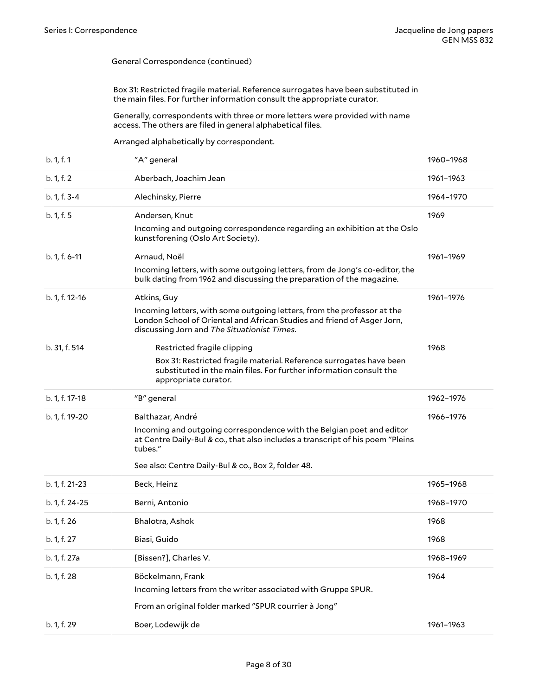Box 31: Restricted fragile material. Reference surrogates have been substituted in the main files. For further information consult the appropriate curator.

Generally, correspondents with three or more letters were provided with name access. The others are filed in general alphabetical files.

Arranged alphabetically by correspondent.

| b. 1, f. 1      | "A" general                                                                                                                                                                                                                                   | 1960-1968 |
|-----------------|-----------------------------------------------------------------------------------------------------------------------------------------------------------------------------------------------------------------------------------------------|-----------|
| b. 1, f. 2      | Aberbach, Joachim Jean                                                                                                                                                                                                                        | 1961-1963 |
| b. 1, f. 3-4    | Alechinsky, Pierre                                                                                                                                                                                                                            | 1964-1970 |
| b. 1, f. 5      | Andersen, Knut<br>Incoming and outgoing correspondence regarding an exhibition at the Oslo<br>kunstforening (Oslo Art Society).                                                                                                               | 1969      |
| $b. 1, f. 6-11$ | Arnaud, Noël<br>Incoming letters, with some outgoing letters, from de Jong's co-editor, the<br>bulk dating from 1962 and discussing the preparation of the magazine.                                                                          | 1961-1969 |
| b. 1, f. 12-16  | Atkins, Guy<br>Incoming letters, with some outgoing letters, from the professor at the<br>London School of Oriental and African Studies and friend of Asger Jorn,<br>discussing Jorn and The Situationist Times.                              | 1961-1976 |
| b. 31, f. 514   | Restricted fragile clipping<br>Box 31: Restricted fragile material. Reference surrogates have been<br>substituted in the main files. For further information consult the<br>appropriate curator.                                              | 1968      |
| b. 1, f. 17-18  | "B" general                                                                                                                                                                                                                                   | 1962-1976 |
| b. 1, f. 19-20  | Balthazar, André<br>Incoming and outgoing correspondence with the Belgian poet and editor<br>at Centre Daily-Bul & co., that also includes a transcript of his poem "Pleins<br>tubes."<br>See also: Centre Daily-Bul & co., Box 2, folder 48. | 1966-1976 |
| b. 1, f. 21-23  | Beck, Heinz                                                                                                                                                                                                                                   | 1965-1968 |
| b. 1, f. 24-25  | Berni, Antonio                                                                                                                                                                                                                                | 1968-1970 |
| b. 1, f. 26     | Bhalotra, Ashok                                                                                                                                                                                                                               | 1968      |
| b. 1, f. 27     | Biasi, Guido                                                                                                                                                                                                                                  | 1968      |
| b. 1, f. 27a    | [Bissen?], Charles V.                                                                                                                                                                                                                         | 1968-1969 |
| b. 1, f. 28     | Böckelmann, Frank<br>Incoming letters from the writer associated with Gruppe SPUR.<br>From an original folder marked "SPUR courrier à Jong"                                                                                                   | 1964      |
| b. 1, f. 29     | Boer, Lodewijk de                                                                                                                                                                                                                             | 1961-1963 |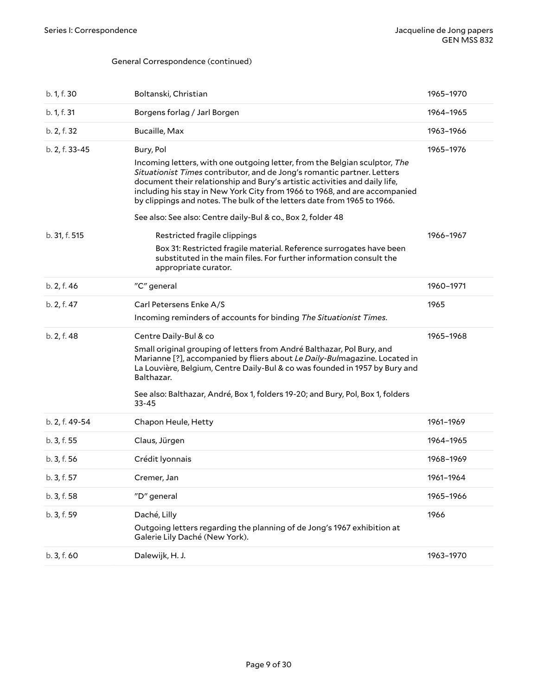| b. 1, f. 30    | Boltanski, Christian                                                                                                                                                                                                                                                                                                                                                                                                                                                      | 1965-1970 |
|----------------|---------------------------------------------------------------------------------------------------------------------------------------------------------------------------------------------------------------------------------------------------------------------------------------------------------------------------------------------------------------------------------------------------------------------------------------------------------------------------|-----------|
| b. 1, f. 31    | Borgens forlag / Jarl Borgen                                                                                                                                                                                                                                                                                                                                                                                                                                              | 1964-1965 |
| b. 2, f. 32    | Bucaille, Max                                                                                                                                                                                                                                                                                                                                                                                                                                                             | 1963-1966 |
| b. 2, f. 33-45 | Bury, Pol<br>Incoming letters, with one outgoing letter, from the Belgian sculptor, The<br>Situationist Times contributor, and de Jong's romantic partner. Letters<br>document their relationship and Bury's artistic activities and daily life,<br>including his stay in New York City from 1966 to 1968, and are accompanied<br>by clippings and notes. The bulk of the letters date from 1965 to 1966.<br>See also: See also: Centre daily-Bul & co., Box 2, folder 48 | 1965-1976 |
| b. 31, f. 515  | Restricted fragile clippings<br>Box 31: Restricted fragile material. Reference surrogates have been<br>substituted in the main files. For further information consult the<br>appropriate curator.                                                                                                                                                                                                                                                                         | 1966-1967 |
| b. 2, f. 46    | "C" general                                                                                                                                                                                                                                                                                                                                                                                                                                                               | 1960-1971 |
| b. 2, f. 47    | Carl Petersens Enke A/S<br>Incoming reminders of accounts for binding The Situationist Times.                                                                                                                                                                                                                                                                                                                                                                             | 1965      |
| b. 2, f. 48    | Centre Daily-Bul & co<br>Small original grouping of letters from André Balthazar, Pol Bury, and<br>Marianne [?], accompanied by fliers about Le Daily-Bulmagazine. Located in<br>La Louvière, Belgium, Centre Daily-Bul & co was founded in 1957 by Bury and<br>Balthazar.<br>See also: Balthazar, André, Box 1, folders 19-20; and Bury, Pol, Box 1, folders<br>$33 - 45$                                                                                                | 1965-1968 |
| b. 2, f. 49-54 | Chapon Heule, Hetty                                                                                                                                                                                                                                                                                                                                                                                                                                                       | 1961-1969 |
| b. 3, f. 55    | Claus, Jürgen                                                                                                                                                                                                                                                                                                                                                                                                                                                             | 1964-1965 |
| b. 3, f. 56    | Crédit Iyonnais                                                                                                                                                                                                                                                                                                                                                                                                                                                           | 1968-1969 |
| b. 3, f. 57    | Cremer, Jan                                                                                                                                                                                                                                                                                                                                                                                                                                                               | 1961-1964 |
| b. 3, f. 58    | "D" general                                                                                                                                                                                                                                                                                                                                                                                                                                                               | 1965-1966 |
| b. 3, f. 59    | Daché, Lilly<br>Outgoing letters regarding the planning of de Jong's 1967 exhibition at<br>Galerie Lily Daché (New York).                                                                                                                                                                                                                                                                                                                                                 | 1966      |
| b. 3, f. 60    | Dalewijk, H. J.                                                                                                                                                                                                                                                                                                                                                                                                                                                           | 1963-1970 |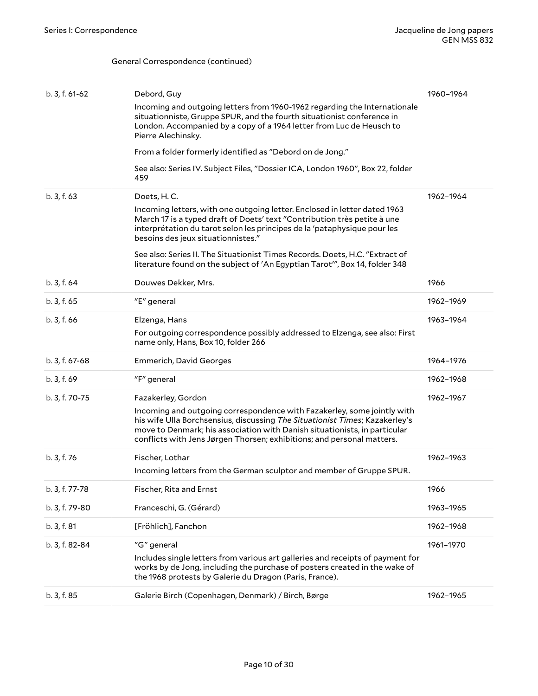| b. 3, f. 61-62 | Debord, Guy                                                                                                                                                                                                                                                                                                   | 1960-1964 |
|----------------|---------------------------------------------------------------------------------------------------------------------------------------------------------------------------------------------------------------------------------------------------------------------------------------------------------------|-----------|
|                | Incoming and outgoing letters from 1960-1962 regarding the Internationale<br>situationniste, Gruppe SPUR, and the fourth situationist conference in<br>London. Accompanied by a copy of a 1964 letter from Luc de Heusch to<br>Pierre Alechinsky.                                                             |           |
|                | From a folder formerly identified as "Debord on de Jong."                                                                                                                                                                                                                                                     |           |
|                | See also: Series IV. Subject Files, "Dossier ICA, London 1960", Box 22, folder<br>459                                                                                                                                                                                                                         |           |
| b. 3, f. 63    | Doets, H.C.                                                                                                                                                                                                                                                                                                   | 1962-1964 |
|                | Incoming letters, with one outgoing letter. Enclosed in letter dated 1963<br>March 17 is a typed draft of Doets' text "Contribution très petite à une<br>interprétation du tarot selon les principes de la 'pataphysique pour les<br>besoins des jeux situationnistes."                                       |           |
|                | See also: Series II. The Situationist Times Records. Doets, H.C. "Extract of<br>literature found on the subject of 'An Egyptian Tarot'", Box 14, folder 348                                                                                                                                                   |           |
| b. 3, f. 64    | Douwes Dekker, Mrs.                                                                                                                                                                                                                                                                                           | 1966      |
| b. 3, f. 65    | "E" general                                                                                                                                                                                                                                                                                                   | 1962-1969 |
| b.3, f.66      | Elzenga, Hans                                                                                                                                                                                                                                                                                                 | 1963-1964 |
|                | For outgoing correspondence possibly addressed to Elzenga, see also: First<br>name only, Hans, Box 10, folder 266                                                                                                                                                                                             |           |
| b. 3, f. 67-68 | <b>Emmerich, David Georges</b>                                                                                                                                                                                                                                                                                | 1964-1976 |
| b. 3, f. 69    | "F" general                                                                                                                                                                                                                                                                                                   | 1962-1968 |
| b. 3, f. 70-75 | Fazakerley, Gordon                                                                                                                                                                                                                                                                                            | 1962-1967 |
|                | Incoming and outgoing correspondence with Fazakerley, some jointly with<br>his wife Ulla Borchsensius, discussing The Situationist Times; Kazakerley's<br>move to Denmark; his association with Danish situationists, in particular<br>conflicts with Jens Jørgen Thorsen; exhibitions; and personal matters. |           |
| b. 3, f. 76    | Fischer, Lothar                                                                                                                                                                                                                                                                                               | 1962-1963 |
|                | Incoming letters from the German sculptor and member of Gruppe SPUR.                                                                                                                                                                                                                                          |           |
| b. 3, f. 77-78 | Fischer, Rita and Ernst                                                                                                                                                                                                                                                                                       | 1966      |
| b. 3, f. 79-80 | Franceschi, G. (Gérard)                                                                                                                                                                                                                                                                                       | 1963-1965 |
| b. 3, f. 81    | [Fröhlich], Fanchon                                                                                                                                                                                                                                                                                           | 1962-1968 |
| b. 3, f. 82-84 | "G" general                                                                                                                                                                                                                                                                                                   | 1961-1970 |
|                | Includes single letters from various art galleries and receipts of payment for<br>works by de Jong, including the purchase of posters created in the wake of<br>the 1968 protests by Galerie du Dragon (Paris, France).                                                                                       |           |
| b. 3, f. 85    | Galerie Birch (Copenhagen, Denmark) / Birch, Børge                                                                                                                                                                                                                                                            | 1962-1965 |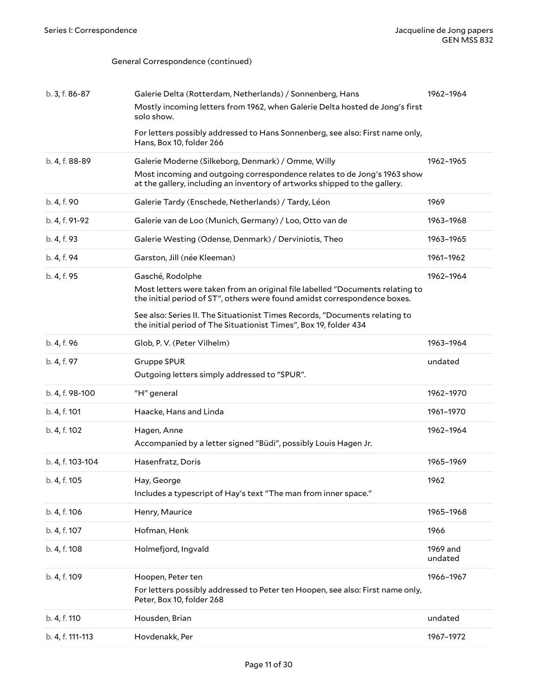| b. 3, f. 86-87   | Galerie Delta (Rotterdam, Netherlands) / Sonnenberg, Hans                                                                                                  | 1962-1964           |
|------------------|------------------------------------------------------------------------------------------------------------------------------------------------------------|---------------------|
|                  | Mostly incoming letters from 1962, when Galerie Delta hosted de Jong's first<br>solo show.                                                                 |                     |
|                  | For letters possibly addressed to Hans Sonnenberg, see also: First name only,<br>Hans, Box 10, folder 266                                                  |                     |
| b. 4, f. 88-89   | Galerie Moderne (Silkeborg, Denmark) / Omme, Willy                                                                                                         | 1962-1965           |
|                  | Most incoming and outgoing correspondence relates to de Jong's 1963 show<br>at the gallery, including an inventory of artworks shipped to the gallery.     |                     |
| b. 4, f. 90      | Galerie Tardy (Enschede, Netherlands) / Tardy, Léon                                                                                                        | 1969                |
| b. 4, f. 91-92   | Galerie van de Loo (Munich, Germany) / Loo, Otto van de                                                                                                    | 1963-1968           |
| b. 4, f. 93      | Galerie Westing (Odense, Denmark) / Derviniotis, Theo                                                                                                      | 1963-1965           |
| b. 4, f. 94      | Garston, Jill (née Kleeman)                                                                                                                                | 1961-1962           |
| b. 4, f. 95      | Gasché, Rodolphe                                                                                                                                           | 1962-1964           |
|                  | Most letters were taken from an original file labelled "Documents relating to<br>the initial period of ST", others were found amidst correspondence boxes. |                     |
|                  | See also: Series II. The Situationist Times Records, "Documents relating to<br>the initial period of The Situationist Times", Box 19, folder 434           |                     |
| b. 4, f. 96      | Glob, P.V. (Peter Vilhelm)                                                                                                                                 | 1963-1964           |
| b. 4, f. 97      | <b>Gruppe SPUR</b><br>Outgoing letters simply addressed to "SPUR".                                                                                         | undated             |
| b. 4, f. 98-100  | "H" general                                                                                                                                                | 1962-1970           |
| b. 4, f. 101     | Haacke, Hans and Linda                                                                                                                                     | 1961-1970           |
| b. 4, f. 102     | Hagen, Anne<br>Accompanied by a letter signed "Büdi", possibly Louis Hagen Jr.                                                                             | 1962-1964           |
| b. 4, f. 103-104 | Hasenfratz, Doris                                                                                                                                          | 1965-1969           |
| b. 4, f. 105     | Hay, George<br>Includes a typescript of Hay's text "The man from inner space."                                                                             | 1962                |
| b. 4, f. 106     | Henry, Maurice                                                                                                                                             | 1965-1968           |
| b. 4, f. 107     | Hofman, Henk                                                                                                                                               | 1966                |
| b. 4, f. 108     | Holmefjord, Ingvald                                                                                                                                        | 1969 and<br>undated |
| b. 4, f. 109     | Hoopen, Peter ten                                                                                                                                          | 1966-1967           |
|                  | For letters possibly addressed to Peter ten Hoopen, see also: First name only,<br>Peter, Box 10, folder 268                                                |                     |
| b. 4, f. 110     | Housden, Brian                                                                                                                                             | undated             |
| b. 4, f. 111-113 | Hovdenakk, Per                                                                                                                                             | 1967-1972           |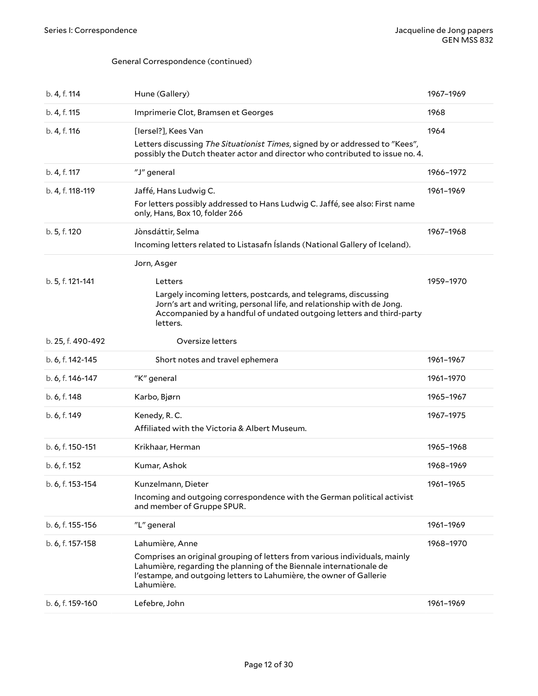| b. 4, f. 114      | Hune (Gallery)                                                                                                                                                                                                                                            | 1967-1969 |
|-------------------|-----------------------------------------------------------------------------------------------------------------------------------------------------------------------------------------------------------------------------------------------------------|-----------|
| b. 4, f. 115      | Imprimerie Clot, Bramsen et Georges                                                                                                                                                                                                                       | 1968      |
| b. 4, f. 116      | [lersel?], Kees Van<br>Letters discussing The Situationist Times, signed by or addressed to "Kees",<br>possibly the Dutch theater actor and director who contributed to issue no. 4.                                                                      | 1964      |
| b. 4, f. 117      | "J" general                                                                                                                                                                                                                                               | 1966-1972 |
| b. 4, f. 118-119  | Jaffé, Hans Ludwig C.<br>For letters possibly addressed to Hans Ludwig C. Jaffé, see also: First name<br>only, Hans, Box 10, folder 266                                                                                                                   | 1961-1969 |
| b. 5, f. 120      | Jònsdáttir, Selma<br>Incoming letters related to Listasafn Íslands (National Gallery of Iceland).                                                                                                                                                         | 1967-1968 |
| b. 5, f. 121-141  | Jorn, Asger<br>Letters<br>Largely incoming letters, postcards, and telegrams, discussing<br>Jorn's art and writing, personal life, and relationship with de Jong.<br>Accompanied by a handful of undated outgoing letters and third-party<br>letters.     | 1959-1970 |
| b. 25, f. 490-492 | Oversize letters                                                                                                                                                                                                                                          |           |
|                   |                                                                                                                                                                                                                                                           |           |
| b. 6, f. 142-145  | Short notes and travel ephemera                                                                                                                                                                                                                           | 1961-1967 |
| b. 6, f. 146-147  | "K" general                                                                                                                                                                                                                                               | 1961-1970 |
| b. 6, f. 148      | Karbo, Bjørn                                                                                                                                                                                                                                              | 1965-1967 |
| b. 6, f. 149      | Kenedy, R. C.<br>Affiliated with the Victoria & Albert Museum.                                                                                                                                                                                            | 1967-1975 |
| b. 6, f. 150-151  | Krikhaar, Herman                                                                                                                                                                                                                                          | 1965-1968 |
| b. 6, f. 152      | Kumar, Ashok                                                                                                                                                                                                                                              | 1968-1969 |
| b. 6, f. 153-154  | Kunzelmann, Dieter<br>Incoming and outgoing correspondence with the German political activist<br>and member of Gruppe SPUR.                                                                                                                               | 1961-1965 |
| b. 6, f. 155-156  | "L" general                                                                                                                                                                                                                                               | 1961-1969 |
| b. 6, f. 157-158  | Lahumière, Anne<br>Comprises an original grouping of letters from various individuals, mainly<br>Lahumière, regarding the planning of the Biennale internationale de<br>l'estampe, and outgoing letters to Lahumière, the owner of Gallerie<br>Lahumière. | 1968-1970 |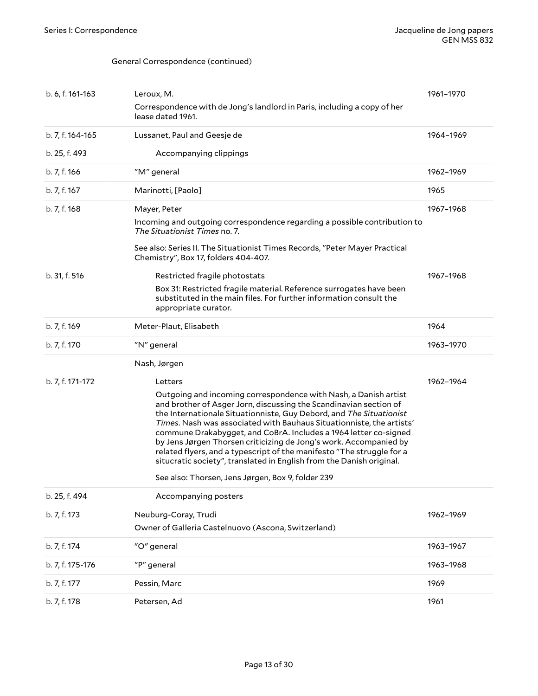| b. 6, f. 161-163 | Leroux, M.                                                                                                                                                                                                                                                                                                                                                                                                                                                                                                                                                                    | 1961-1970 |
|------------------|-------------------------------------------------------------------------------------------------------------------------------------------------------------------------------------------------------------------------------------------------------------------------------------------------------------------------------------------------------------------------------------------------------------------------------------------------------------------------------------------------------------------------------------------------------------------------------|-----------|
|                  | Correspondence with de Jong's landlord in Paris, including a copy of her<br>lease dated 1961.                                                                                                                                                                                                                                                                                                                                                                                                                                                                                 |           |
| b. 7, f. 164-165 | Lussanet, Paul and Geesje de                                                                                                                                                                                                                                                                                                                                                                                                                                                                                                                                                  | 1964-1969 |
| b. 25, f. 493    | Accompanying clippings                                                                                                                                                                                                                                                                                                                                                                                                                                                                                                                                                        |           |
| b. 7, f. 166     | "M" general                                                                                                                                                                                                                                                                                                                                                                                                                                                                                                                                                                   | 1962-1969 |
| b. 7, f. 167     | Marinotti, [Paolo]                                                                                                                                                                                                                                                                                                                                                                                                                                                                                                                                                            | 1965      |
| b. 7, f. 168     | Mayer, Peter                                                                                                                                                                                                                                                                                                                                                                                                                                                                                                                                                                  | 1967-1968 |
|                  | Incoming and outgoing correspondence regarding a possible contribution to<br>The Situationist Times no. 7.                                                                                                                                                                                                                                                                                                                                                                                                                                                                    |           |
|                  | See also: Series II. The Situationist Times Records, "Peter Mayer Practical<br>Chemistry", Box 17, folders 404-407.                                                                                                                                                                                                                                                                                                                                                                                                                                                           |           |
| b. 31, f. 516    | Restricted fragile photostats                                                                                                                                                                                                                                                                                                                                                                                                                                                                                                                                                 | 1967-1968 |
|                  | Box 31: Restricted fragile material. Reference surrogates have been<br>substituted in the main files. For further information consult the<br>appropriate curator.                                                                                                                                                                                                                                                                                                                                                                                                             |           |
| b. 7, f. 169     | Meter-Plaut, Elisabeth                                                                                                                                                                                                                                                                                                                                                                                                                                                                                                                                                        | 1964      |
| b. 7, f. 170     | "N" general                                                                                                                                                                                                                                                                                                                                                                                                                                                                                                                                                                   | 1963-1970 |
|                  | Nash, Jørgen                                                                                                                                                                                                                                                                                                                                                                                                                                                                                                                                                                  |           |
| b. 7, f. 171-172 | Letters                                                                                                                                                                                                                                                                                                                                                                                                                                                                                                                                                                       | 1962-1964 |
|                  | Outgoing and incoming correspondence with Nash, a Danish artist<br>and brother of Asger Jorn, discussing the Scandinavian section of<br>the Internationale Situationniste, Guy Debord, and The Situationist<br>Times. Nash was associated with Bauhaus Situationniste, the artists'<br>commune Drakabygget, and CoBrA. Includes a 1964 letter co-signed<br>by Jens Jørgen Thorsen criticizing de Jong's work. Accompanied by<br>related flyers, and a typescript of the manifesto "The struggle for a<br>situcratic society", translated in English from the Danish original. |           |
|                  | See also: Thorsen, Jens Jørgen, Box 9, folder 239                                                                                                                                                                                                                                                                                                                                                                                                                                                                                                                             |           |
| b. 25, f. 494    | Accompanying posters                                                                                                                                                                                                                                                                                                                                                                                                                                                                                                                                                          |           |
| b. 7, f. 173     | Neuburg-Coray, Trudi                                                                                                                                                                                                                                                                                                                                                                                                                                                                                                                                                          | 1962-1969 |
|                  | Owner of Galleria Castelnuovo (Ascona, Switzerland)                                                                                                                                                                                                                                                                                                                                                                                                                                                                                                                           |           |
| b. 7, f. 174     | "O" general                                                                                                                                                                                                                                                                                                                                                                                                                                                                                                                                                                   | 1963-1967 |
| b. 7, f. 175-176 | "P" general                                                                                                                                                                                                                                                                                                                                                                                                                                                                                                                                                                   | 1963-1968 |
| b. 7, f. 177     | Pessin, Marc                                                                                                                                                                                                                                                                                                                                                                                                                                                                                                                                                                  | 1969      |
| b. 7, f. 178     | Petersen, Ad                                                                                                                                                                                                                                                                                                                                                                                                                                                                                                                                                                  | 1961      |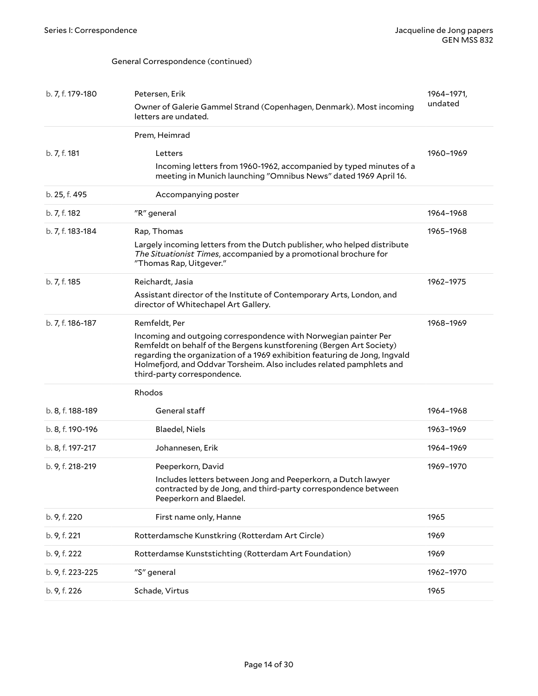| b. 7, f. 179-180 | Petersen, Erik                                                                                                                                                                                                                                                                                                               | 1964-1971, |
|------------------|------------------------------------------------------------------------------------------------------------------------------------------------------------------------------------------------------------------------------------------------------------------------------------------------------------------------------|------------|
|                  | Owner of Galerie Gammel Strand (Copenhagen, Denmark). Most incoming<br>letters are undated.                                                                                                                                                                                                                                  | undated    |
|                  | Prem, Heimrad                                                                                                                                                                                                                                                                                                                |            |
| b. 7, f. 181     | Letters                                                                                                                                                                                                                                                                                                                      | 1960-1969  |
|                  | Incoming letters from 1960-1962, accompanied by typed minutes of a<br>meeting in Munich launching "Omnibus News" dated 1969 April 16.                                                                                                                                                                                        |            |
| b. 25, f. 495    | Accompanying poster                                                                                                                                                                                                                                                                                                          |            |
| b. 7, f. 182     | "R" general                                                                                                                                                                                                                                                                                                                  | 1964-1968  |
| b. 7, f. 183-184 | Rap, Thomas                                                                                                                                                                                                                                                                                                                  | 1965-1968  |
|                  | Largely incoming letters from the Dutch publisher, who helped distribute<br>The Situationist Times, accompanied by a promotional brochure for<br>"Thomas Rap, Uitgever."                                                                                                                                                     |            |
| b. 7, f. 185     | Reichardt, Jasia                                                                                                                                                                                                                                                                                                             | 1962-1975  |
|                  | Assistant director of the Institute of Contemporary Arts, London, and<br>director of Whitechapel Art Gallery.                                                                                                                                                                                                                |            |
| b. 7, f. 186-187 | Remfeldt, Per                                                                                                                                                                                                                                                                                                                | 1968-1969  |
|                  | Incoming and outgoing correspondence with Norwegian painter Per<br>Remfeldt on behalf of the Bergens kunstforening (Bergen Art Society)<br>regarding the organization of a 1969 exhibition featuring de Jong, Ingvald<br>Holmefjord, and Oddvar Torsheim. Also includes related pamphlets and<br>third-party correspondence. |            |
|                  | Rhodos                                                                                                                                                                                                                                                                                                                       |            |
| b. 8, f. 188-189 | General staff                                                                                                                                                                                                                                                                                                                | 1964-1968  |
| b. 8, f. 190-196 | Blaedel, Niels                                                                                                                                                                                                                                                                                                               | 1963-1969  |
| b. 8, f. 197-217 | Johannesen, Erik                                                                                                                                                                                                                                                                                                             | 1964-1969  |
| b. 9, f. 218-219 | Peeperkorn, David                                                                                                                                                                                                                                                                                                            | 1969-1970  |
|                  | Includes letters between Jong and Peeperkorn, a Dutch lawyer<br>contracted by de Jong, and third-party correspondence between<br>Peeperkorn and Blaedel.                                                                                                                                                                     |            |
| b. 9, f. 220     | First name only, Hanne                                                                                                                                                                                                                                                                                                       | 1965       |
| b. 9, f. 221     | Rotterdamsche Kunstkring (Rotterdam Art Circle)                                                                                                                                                                                                                                                                              | 1969       |
| b. 9, f. 222     | Rotterdamse Kunststichting (Rotterdam Art Foundation)                                                                                                                                                                                                                                                                        | 1969       |
| b. 9, f. 223-225 | "S" general                                                                                                                                                                                                                                                                                                                  | 1962-1970  |
| b. 9, f. 226     | Schade, Virtus                                                                                                                                                                                                                                                                                                               | 1965       |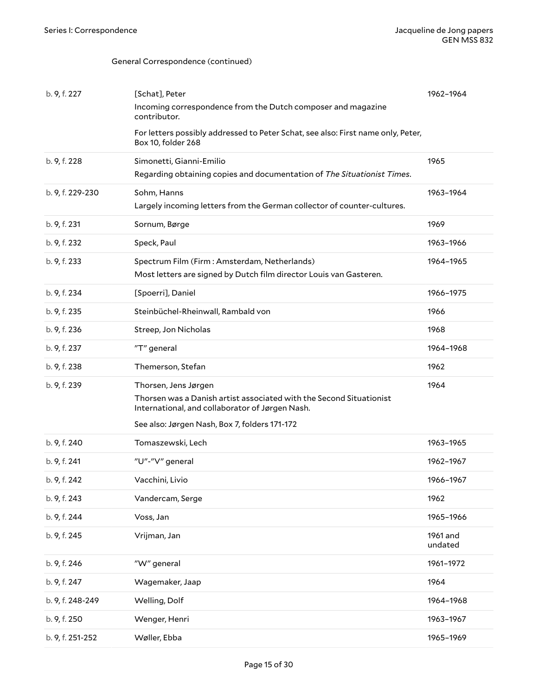| b. 9, f. 227     | [Schat], Peter                                                                                                         | 1962-1964           |
|------------------|------------------------------------------------------------------------------------------------------------------------|---------------------|
|                  | Incoming correspondence from the Dutch composer and magazine<br>contributor.                                           |                     |
|                  | For letters possibly addressed to Peter Schat, see also: First name only, Peter,<br>Box 10, folder 268                 |                     |
| b. 9, f. 228     | Simonetti, Gianni-Emilio                                                                                               | 1965                |
|                  | Regarding obtaining copies and documentation of The Situationist Times.                                                |                     |
| b. 9, f. 229-230 | Sohm, Hanns<br>Largely incoming letters from the German collector of counter-cultures.                                 | 1963-1964           |
|                  |                                                                                                                        |                     |
| b. 9, f. 231     | Sornum, Børge                                                                                                          | 1969                |
| b. 9, f. 232     | Speck, Paul                                                                                                            | 1963-1966           |
| b. 9, f. 233     | Spectrum Film (Firm: Amsterdam, Netherlands)                                                                           | 1964-1965           |
|                  | Most letters are signed by Dutch film director Louis van Gasteren.                                                     |                     |
| b. 9, f. 234     | [Spoerri], Daniel                                                                                                      | 1966-1975           |
| b. 9, f. 235     | Steinbüchel-Rheinwall, Rambald von                                                                                     | 1966                |
| b. 9, f. 236     | Streep, Jon Nicholas                                                                                                   | 1968                |
| b. 9, f. 237     | "T" general                                                                                                            | 1964-1968           |
| b. 9, f. 238     | Themerson, Stefan                                                                                                      | 1962                |
| b. 9, f. 239     | Thorsen, Jens Jørgen                                                                                                   | 1964                |
|                  | Thorsen was a Danish artist associated with the Second Situationist<br>International, and collaborator of Jørgen Nash. |                     |
|                  | See also: Jørgen Nash, Box 7, folders 171-172                                                                          |                     |
| b. 9, f. 240     | Tomaszewski, Lech                                                                                                      | 1963-1965           |
| b. 9, f. 241     | "U"-"V" general                                                                                                        | 1962-1967           |
| b. 9, f. 242     | Vacchini, Livio                                                                                                        | 1966-1967           |
| b. 9, f. 243     | Vandercam, Serge                                                                                                       | 1962                |
| b. 9, f. 244     | Voss, Jan                                                                                                              | 1965-1966           |
| b. 9, f. 245     | Vrijman, Jan                                                                                                           | 1961 and<br>undated |
| b. 9, f. 246     | "W" general                                                                                                            | 1961-1972           |
| b. 9, f. 247     | Wagemaker, Jaap                                                                                                        | 1964                |
| b. 9, f. 248-249 | Welling, Dolf                                                                                                          | 1964-1968           |
| b. 9, f. 250     | Wenger, Henri                                                                                                          | 1963-1967           |
| b. 9, f. 251-252 | Wøller, Ebba                                                                                                           | 1965-1969           |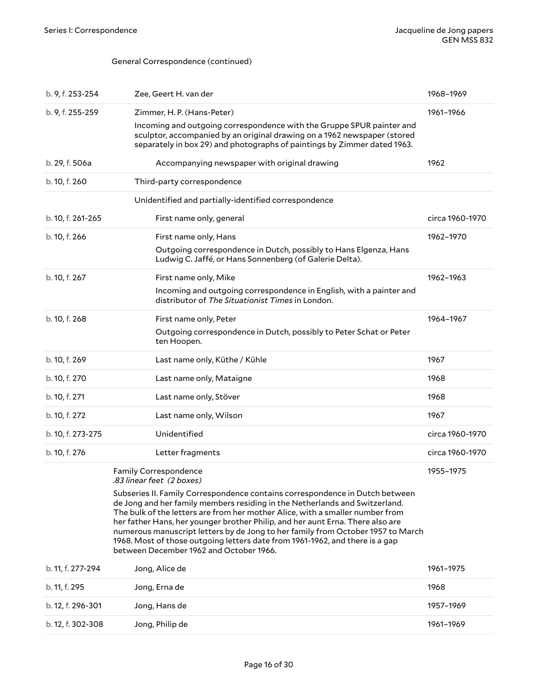<span id="page-15-0"></span>

| b. 9, f. 253-254  | Zee, Geert H. van der                                                                                                                                                                                                                                                                                                                                                                                                                                                                                                                                                                                     | 1968-1969       |
|-------------------|-----------------------------------------------------------------------------------------------------------------------------------------------------------------------------------------------------------------------------------------------------------------------------------------------------------------------------------------------------------------------------------------------------------------------------------------------------------------------------------------------------------------------------------------------------------------------------------------------------------|-----------------|
| b. 9, f. 255-259  | Zimmer, H. P. (Hans-Peter)<br>Incoming and outgoing correspondence with the Gruppe SPUR painter and<br>sculptor, accompanied by an original drawing on a 1962 newspaper (stored<br>separately in box 29) and photographs of paintings by Zimmer dated 1963.                                                                                                                                                                                                                                                                                                                                               | 1961-1966       |
| b. 29, f. 506a    | Accompanying newspaper with original drawing                                                                                                                                                                                                                                                                                                                                                                                                                                                                                                                                                              | 1962            |
| b. 10, f. 260     | Third-party correspondence                                                                                                                                                                                                                                                                                                                                                                                                                                                                                                                                                                                |                 |
|                   | Unidentified and partially-identified correspondence                                                                                                                                                                                                                                                                                                                                                                                                                                                                                                                                                      |                 |
| b. 10, f. 261-265 | First name only, general                                                                                                                                                                                                                                                                                                                                                                                                                                                                                                                                                                                  | circa 1960-1970 |
| b. 10, f. 266     | First name only, Hans<br>Outgoing correspondence in Dutch, possibly to Hans Elgenza, Hans<br>Ludwig C. Jaffé, or Hans Sonnenberg (of Galerie Delta).                                                                                                                                                                                                                                                                                                                                                                                                                                                      | 1962-1970       |
| b. 10, f. 267     | First name only, Mike<br>Incoming and outgoing correspondence in English, with a painter and<br>distributor of The Situationist Times in London.                                                                                                                                                                                                                                                                                                                                                                                                                                                          | 1962-1963       |
| b. 10, f. 268     | First name only, Peter<br>Outgoing correspondence in Dutch, possibly to Peter Schat or Peter<br>ten Hoopen.                                                                                                                                                                                                                                                                                                                                                                                                                                                                                               | 1964-1967       |
| b. 10, f. 269     | Last name only, Küthe / Kühle                                                                                                                                                                                                                                                                                                                                                                                                                                                                                                                                                                             | 1967            |
| b. 10, f. 270     | Last name only, Mataigne                                                                                                                                                                                                                                                                                                                                                                                                                                                                                                                                                                                  | 1968            |
| b. 10, f. 271     | Last name only, Stöver                                                                                                                                                                                                                                                                                                                                                                                                                                                                                                                                                                                    | 1968            |
| b. 10, f. 272     | Last name only, Wilson                                                                                                                                                                                                                                                                                                                                                                                                                                                                                                                                                                                    | 1967            |
| b. 10, f. 273-275 | Unidentified                                                                                                                                                                                                                                                                                                                                                                                                                                                                                                                                                                                              | circa 1960-1970 |
| b. 10, f. 276     | Letter fragments                                                                                                                                                                                                                                                                                                                                                                                                                                                                                                                                                                                          | circa 1960-1970 |
|                   | <b>Family Correspondence</b><br>.83 linear feet (2 boxes)<br>Subseries II. Family Correspondence contains correspondence in Dutch between<br>de Jong and her family members residing in the Netherlands and Switzerland.<br>The bulk of the letters are from her mother Alice, with a smaller number from<br>her father Hans, her younger brother Philip, and her aunt Erna. There also are<br>numerous manuscript letters by de Jong to her family from October 1957 to March<br>1968. Most of those outgoing letters date from 1961-1962, and there is a gap<br>between December 1962 and October 1966. | 1955–1975       |
| b. 11, f. 277-294 | Jong, Alice de                                                                                                                                                                                                                                                                                                                                                                                                                                                                                                                                                                                            | 1961-1975       |
| b. 11, f. 295     | Jong, Erna de                                                                                                                                                                                                                                                                                                                                                                                                                                                                                                                                                                                             | 1968            |
| b. 12, f. 296-301 | Jong, Hans de                                                                                                                                                                                                                                                                                                                                                                                                                                                                                                                                                                                             | 1957-1969       |
| b. 12, f. 302-308 | Jong, Philip de                                                                                                                                                                                                                                                                                                                                                                                                                                                                                                                                                                                           | 1961-1969       |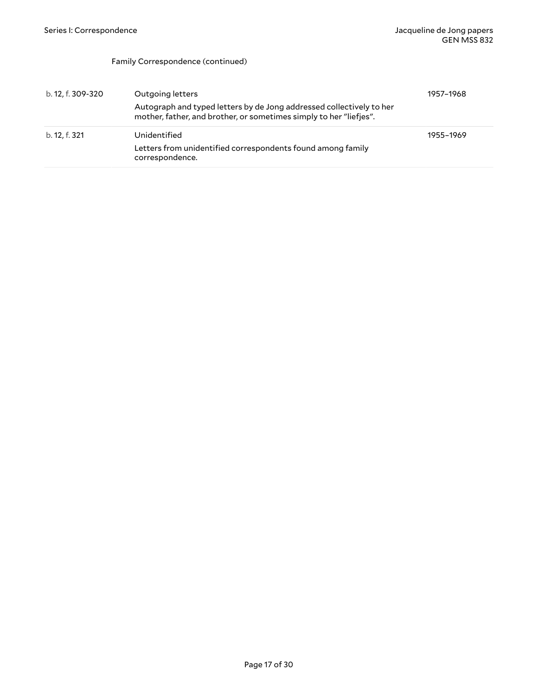#### Family Correspondence (continued)

| b. 12, f. 309-320 | Outgoing letters                                                                                                                           | 1957-1968 |
|-------------------|--------------------------------------------------------------------------------------------------------------------------------------------|-----------|
|                   | Autograph and typed letters by de Jong addressed collectively to her<br>mother, father, and brother, or sometimes simply to her "liefjes". |           |
| b. 12, f. 321     | Unidentified                                                                                                                               | 1955-1969 |
|                   | Letters from unidentified correspondents found among family<br>correspondence.                                                             |           |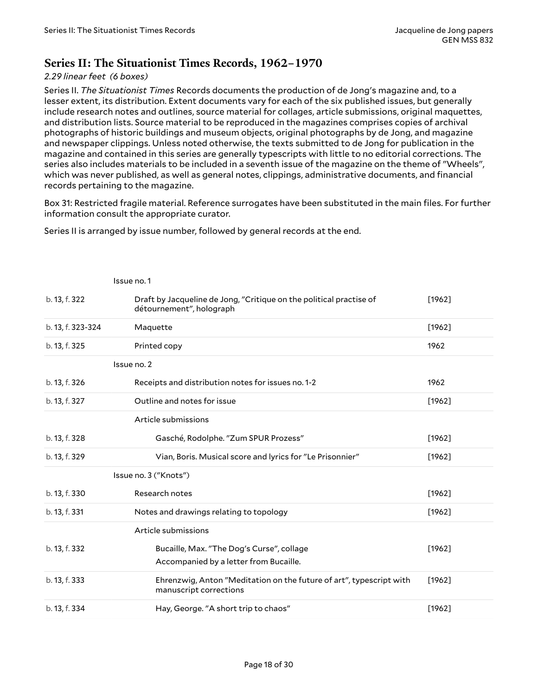### <span id="page-17-0"></span>**Series II: The Situationist Times Records, 1962–1970**

#### *2.29 linear feet (6 boxes)*

Series II. *The Situationist Times* Records documents the production of de Jong's magazine and, to a lesser extent, its distribution. Extent documents vary for each of the six published issues, but generally include research notes and outlines, source material for collages, article submissions, original maquettes, and distribution lists. Source material to be reproduced in the magazines comprises copies of archival photographs of historic buildings and museum objects, original photographs by de Jong, and magazine and newspaper clippings. Unless noted otherwise, the texts submitted to de Jong for publication in the magazine and contained in this series are generally typescripts with little to no editorial corrections. The series also includes materials to be included in a seventh issue of the magazine on the theme of "Wheels", which was never published, as well as general notes, clippings, administrative documents, and financial records pertaining to the magazine.

Box 31: Restricted fragile material. Reference surrogates have been substituted in the main files. For further information consult the appropriate curator.

Series II is arranged by issue number, followed by general records at the end.

|                   | Issue no. 1                                                                                     |          |
|-------------------|-------------------------------------------------------------------------------------------------|----------|
| b. 13, f. 322     | Draft by Jacqueline de Jong, "Critique on the political practise of<br>détournement", holograph | [1962]   |
| b. 13, f. 323-324 | Maquette                                                                                        | $[1962]$ |
| b. 13, f. 325     | Printed copy                                                                                    | 1962     |
|                   | Issue no. 2                                                                                     |          |
| b. 13, f. 326     | Receipts and distribution notes for issues no. 1-2                                              | 1962     |
| b. 13, f. 327     | Outline and notes for issue                                                                     | $[1962]$ |
|                   | Article submissions                                                                             |          |
| b. 13, f. 328     | Gasché, Rodolphe. "Zum SPUR Prozess"                                                            | [1962]   |
| b. 13, f. 329     | Vian, Boris. Musical score and lyrics for "Le Prisonnier"                                       | $[1962]$ |
|                   | Issue no. 3 ("Knots")                                                                           |          |
| b. 13, f. 330     | Research notes                                                                                  | $[1962]$ |
| b. 13, f. 331     | Notes and drawings relating to topology                                                         | [1962]   |
|                   | Article submissions                                                                             |          |
| b. 13, f. 332     | Bucaille, Max. "The Dog's Curse", collage<br>Accompanied by a letter from Bucaille.             | $[1962]$ |
| b. 13, f. 333     | Ehrenzwig, Anton "Meditation on the future of art", typescript with<br>manuscript corrections   | $[1962]$ |
| b. 13, f. 334     | Hay, George. "A short trip to chaos"                                                            | $[1962]$ |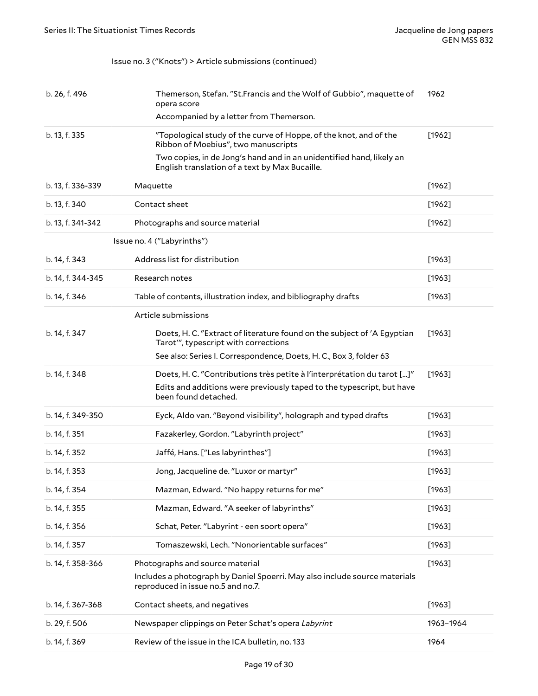#### Issue no. 3 ("Knots") > Article submissions (continued)

| b. 26, f. 496     | Themerson, Stefan. "St. Francis and the Wolf of Gubbio", maquette of<br>opera score                                                                                      | 1962      |
|-------------------|--------------------------------------------------------------------------------------------------------------------------------------------------------------------------|-----------|
|                   | Accompanied by a letter from Themerson.                                                                                                                                  |           |
| b. 13, f. 335     | "Topological study of the curve of Hoppe, of the knot, and of the<br>Ribbon of Moebius", two manuscripts                                                                 | $[1962]$  |
|                   | Two copies, in de Jong's hand and in an unidentified hand, likely an<br>English translation of a text by Max Bucaille.                                                   |           |
| b. 13, f. 336-339 | Maquette                                                                                                                                                                 | [1962]    |
| b. 13, f. 340     | Contact sheet                                                                                                                                                            | $[1962]$  |
| b. 13, f. 341-342 | Photographs and source material                                                                                                                                          | [1962]    |
|                   | Issue no. 4 ("Labyrinths")                                                                                                                                               |           |
| b. 14, f. 343     | Address list for distribution                                                                                                                                            | [1963]    |
| b. 14, f. 344-345 | Research notes                                                                                                                                                           | $[1963]$  |
| b. 14, f. 346     | Table of contents, illustration index, and bibliography drafts                                                                                                           | [1963]    |
|                   | Article submissions                                                                                                                                                      |           |
| b. 14, f. 347     | Doets, H. C. "Extract of literature found on the subject of 'A Egyptian<br>Tarot", typescript with corrections                                                           | [1963]    |
|                   | See also: Series I. Correspondence, Doets, H. C., Box 3, folder 63                                                                                                       |           |
| b. 14, f. 348     | Doets, H. C. "Contributions très petite à l'interprétation du tarot []"<br>Edits and additions were previously taped to the typescript, but have<br>been found detached. | $[1963]$  |
| b. 14, f. 349-350 | Eyck, Aldo van. "Beyond visibility", holograph and typed drafts                                                                                                          | [1963]    |
| b. 14, f. 351     | Fazakerley, Gordon. "Labyrinth project"                                                                                                                                  | [1963]    |
| b. 14, f. 352     | Jaffé, Hans. ["Les labyrinthes"]                                                                                                                                         | [1963]    |
| b. 14, f. 353     | Jong, Jacqueline de. "Luxor or martyr"                                                                                                                                   | [1963]    |
| b. 14, f. 354     | Mazman, Edward. "No happy returns for me"                                                                                                                                | [1963]    |
| b. 14, f. 355     | Mazman, Edward. "A seeker of labyrinths"                                                                                                                                 | [1963]    |
| b. 14, f. 356     | Schat, Peter. "Labyrint - een soort opera"                                                                                                                               | [1963]    |
| b. 14, f. 357     | Tomaszewski, Lech. "Nonorientable surfaces"                                                                                                                              | [1963]    |
| b. 14, f. 358-366 | Photographs and source material<br>Includes a photograph by Daniel Spoerri. May also include source materials<br>reproduced in issue no.5 and no.7.                      | [1963]    |
| b. 14, f. 367-368 | Contact sheets, and negatives                                                                                                                                            | [1963]    |
| b. 29, f. 506     | Newspaper clippings on Peter Schat's opera Labyrint                                                                                                                      | 1963-1964 |
| b. 14, f. 369     | Review of the issue in the ICA bulletin, no. 133                                                                                                                         | 1964      |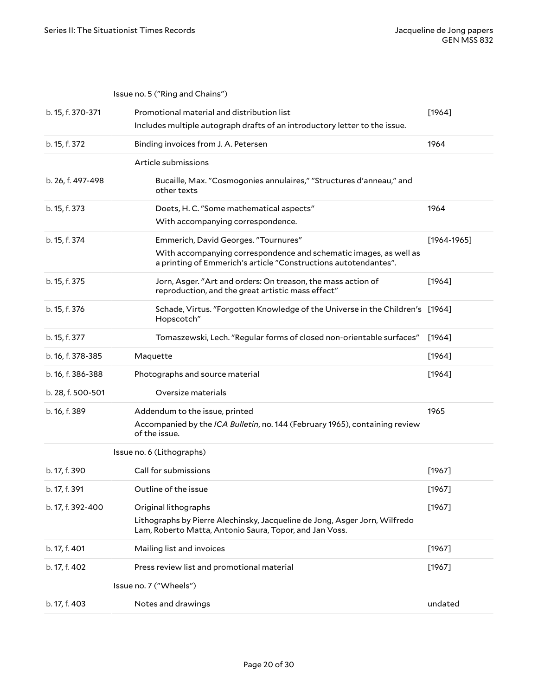|                   | Issue no. 5 ("Ring and Chains")                                                                                                       |                 |
|-------------------|---------------------------------------------------------------------------------------------------------------------------------------|-----------------|
| b. 15, f. 370-371 | Promotional material and distribution list                                                                                            | [1964]          |
|                   | Includes multiple autograph drafts of an introductory letter to the issue.                                                            |                 |
| b. 15, f. 372     | Binding invoices from J. A. Petersen                                                                                                  | 1964            |
|                   | Article submissions                                                                                                                   |                 |
| b. 26, f. 497-498 | Bucaille, Max. "Cosmogonies annulaires," "Structures d'anneau," and<br>other texts                                                    |                 |
| b. 15, f. 373     | Doets, H. C. "Some mathematical aspects"                                                                                              | 1964            |
|                   | With accompanying correspondence.                                                                                                     |                 |
| b. 15, f. 374     | Emmerich, David Georges. "Tournures"                                                                                                  | $[1964 - 1965]$ |
|                   | With accompanying correspondence and schematic images, as well as<br>a printing of Emmerich's article "Constructions autotendantes".  |                 |
| b. 15, f. 375     | Jorn, Asger. "Art and orders: On treason, the mass action of<br>reproduction, and the great artistic mass effect"                     | $[1964]$        |
| b. 15, f. 376     | Schade, Virtus. "Forgotten Knowledge of the Universe in the Children's [1964]<br>Hopscotch"                                           |                 |
| b. 15, f. 377     | Tomaszewski, Lech. "Regular forms of closed non-orientable surfaces"                                                                  | $[1964]$        |
| b. 16, f. 378-385 | Maquette                                                                                                                              | $[1964]$        |
| b. 16, f. 386-388 | Photographs and source material                                                                                                       | $[1964]$        |
| b. 28, f. 500-501 | Oversize materials                                                                                                                    |                 |
| b. 16, f. 389     | Addendum to the issue, printed                                                                                                        | 1965            |
|                   | Accompanied by the ICA Bulletin, no. 144 (February 1965), containing review<br>of the issue.                                          |                 |
|                   | Issue no. 6 (Lithographs)                                                                                                             |                 |
| b. 17, f. 390     | Call for submissions                                                                                                                  | $[1967]$        |
| b. 17, f. 391     | Outline of the issue                                                                                                                  | [1967]          |
| b. 17, f. 392-400 | Original lithographs                                                                                                                  | [1967]          |
|                   | Lithographs by Pierre Alechinsky, Jacqueline de Jong, Asger Jorn, Wilfredo<br>Lam, Roberto Matta, Antonio Saura, Topor, and Jan Voss. |                 |
| b. 17, f. 401     | Mailing list and invoices                                                                                                             | [1967]          |
| b. 17, f. 402     | Press review list and promotional material                                                                                            | [1967]          |
|                   | Issue no. 7 ("Wheels")                                                                                                                |                 |
| b. 17, f. 403     | Notes and drawings                                                                                                                    | undated         |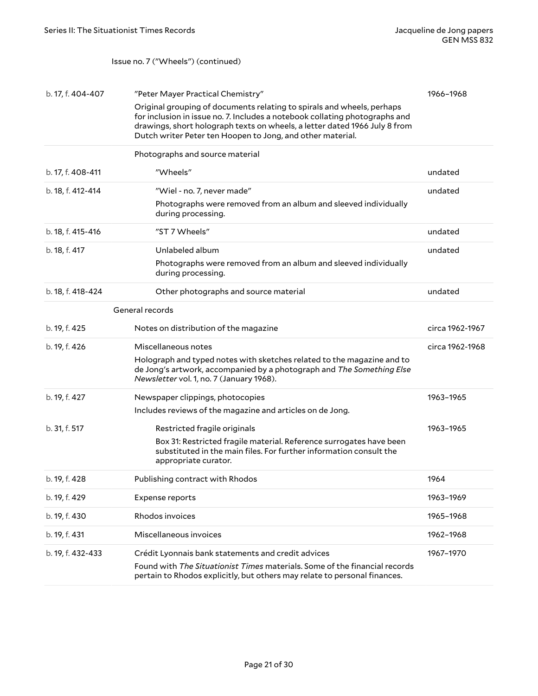#### Issue no. 7 ("Wheels") (continued)

| b. 17, f. 404-407 | "Peter Mayer Practical Chemistry"<br>Original grouping of documents relating to spirals and wheels, perhaps<br>for inclusion in issue no. 7. Includes a notebook collating photographs and<br>drawings, short holograph texts on wheels, a letter dated 1966 July 8 from<br>Dutch writer Peter ten Hoopen to Jong, and other material. | 1966-1968       |
|-------------------|----------------------------------------------------------------------------------------------------------------------------------------------------------------------------------------------------------------------------------------------------------------------------------------------------------------------------------------|-----------------|
|                   | Photographs and source material                                                                                                                                                                                                                                                                                                        |                 |
| b. 17, f. 408-411 | "Wheels"                                                                                                                                                                                                                                                                                                                               | undated         |
| b. 18, f. 412-414 | "Wiel - no. 7, never made"                                                                                                                                                                                                                                                                                                             | undated         |
|                   | Photographs were removed from an album and sleeved individually<br>during processing.                                                                                                                                                                                                                                                  |                 |
| b. 18, f. 415-416 | "ST 7 Wheels"                                                                                                                                                                                                                                                                                                                          | undated         |
| b. 18, f. 417     | Unlabeled album                                                                                                                                                                                                                                                                                                                        | undated         |
|                   | Photographs were removed from an album and sleeved individually<br>during processing.                                                                                                                                                                                                                                                  |                 |
| b. 18, f. 418-424 | Other photographs and source material                                                                                                                                                                                                                                                                                                  | undated         |
|                   | General records                                                                                                                                                                                                                                                                                                                        |                 |
| b. 19, f. 425     | Notes on distribution of the magazine                                                                                                                                                                                                                                                                                                  | circa 1962-1967 |
| b. 19, f. 426     | Miscellaneous notes                                                                                                                                                                                                                                                                                                                    | circa 1962-1968 |
|                   | Holograph and typed notes with sketches related to the magazine and to<br>de Jong's artwork, accompanied by a photograph and The Something Else<br>Newsletter vol. 1, no. 7 (January 1968).                                                                                                                                            |                 |
| b. 19, f. 427     | Newspaper clippings, photocopies                                                                                                                                                                                                                                                                                                       | 1963-1965       |
|                   | Includes reviews of the magazine and articles on de Jong.                                                                                                                                                                                                                                                                              |                 |
| b. 31, f. 517     | Restricted fragile originals                                                                                                                                                                                                                                                                                                           | 1963-1965       |
|                   | Box 31: Restricted fragile material. Reference surrogates have been<br>substituted in the main files. For further information consult the<br>appropriate curator.                                                                                                                                                                      |                 |
| b. 19, f. 428     | Publishing contract with Rhodos                                                                                                                                                                                                                                                                                                        | 1964            |
| b. 19, f. 429     | <b>Expense reports</b>                                                                                                                                                                                                                                                                                                                 | 1963-1969       |
| b. 19, f. 430     | Rhodos invoices                                                                                                                                                                                                                                                                                                                        | 1965-1968       |
| b. 19, f. 431     | Miscellaneous invoices                                                                                                                                                                                                                                                                                                                 | 1962-1968       |
| b. 19, f. 432-433 | Crédit Lyonnais bank statements and credit advices                                                                                                                                                                                                                                                                                     | 1967-1970       |
|                   | Found with The Situationist Times materials. Some of the financial records<br>pertain to Rhodos explicitly, but others may relate to personal finances.                                                                                                                                                                                |                 |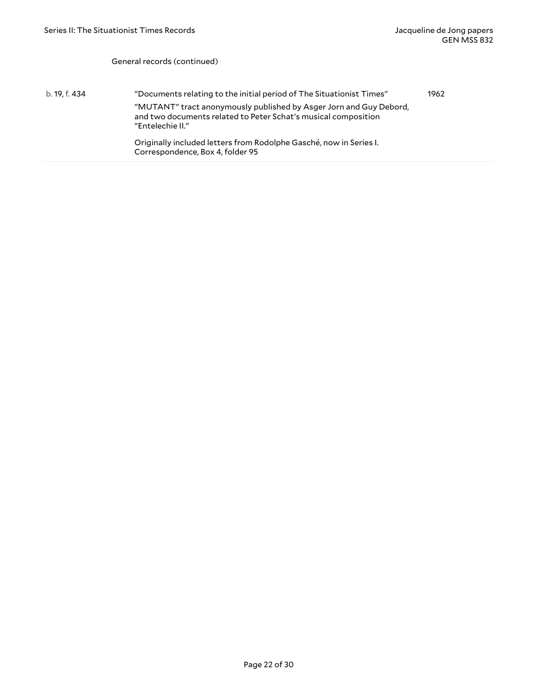#### General records (continued)

b. 19, f. 434 "Documents relating to the initial period of The Situationist Times" "MUTANT" tract anonymously published by Asger Jorn and Guy Debord, and two documents related to Peter Schat's musical composition "Entelechie II." Originally included letters from Rodolphe Gasché, now in Series I. Correspondence, Box 4, folder 95 1962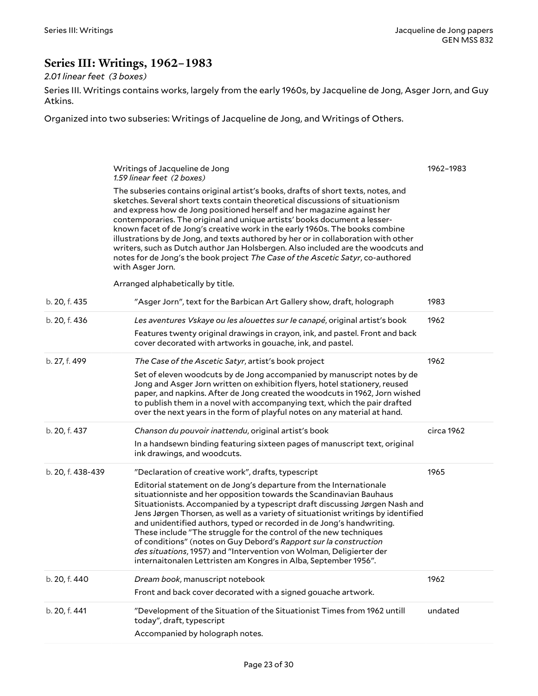# <span id="page-22-0"></span>**Series III: Writings, 1962–1983**

### *2.01 linear feet (3 boxes)*

Series III. Writings contains works, largely from the early 1960s, by Jacqueline de Jong, Asger Jorn, and Guy Atkins.

Organized into two subseries: Writings of Jacqueline de Jong, and Writings of Others.

<span id="page-22-1"></span>

|                   | Writings of Jacqueline de Jong<br>1.59 linear feet (2 boxes)                                                                                                                                                                                                                                                                                                                                                                                                                                                                                                                                                                                                                                | 1962-1983  |
|-------------------|---------------------------------------------------------------------------------------------------------------------------------------------------------------------------------------------------------------------------------------------------------------------------------------------------------------------------------------------------------------------------------------------------------------------------------------------------------------------------------------------------------------------------------------------------------------------------------------------------------------------------------------------------------------------------------------------|------------|
|                   | The subseries contains original artist's books, drafts of short texts, notes, and<br>sketches. Several short texts contain theoretical discussions of situationism<br>and express how de Jong positioned herself and her magazine against her<br>contemporaries. The original and unique artists' books document a lesser-<br>known facet of de Jong's creative work in the early 1960s. The books combine<br>illustrations by de Jong, and texts authored by her or in collaboration with other<br>writers, such as Dutch author Jan Holsbergen. Also included are the woodcuts and<br>notes for de Jong's the book project The Case of the Ascetic Satyr, co-authored<br>with Asger Jorn. |            |
|                   | Arranged alphabetically by title.                                                                                                                                                                                                                                                                                                                                                                                                                                                                                                                                                                                                                                                           |            |
| b. 20, f. 435     | "Asger Jorn", text for the Barbican Art Gallery show, draft, holograph                                                                                                                                                                                                                                                                                                                                                                                                                                                                                                                                                                                                                      | 1983       |
| b. 20, f. 436     | Les aventures Vskaye ou les alouettes sur le canapé, original artist's book                                                                                                                                                                                                                                                                                                                                                                                                                                                                                                                                                                                                                 | 1962       |
|                   | Features twenty original drawings in crayon, ink, and pastel. Front and back<br>cover decorated with artworks in gouache, ink, and pastel.                                                                                                                                                                                                                                                                                                                                                                                                                                                                                                                                                  |            |
| b. 27, f. 499     | The Case of the Ascetic Satyr, artist's book project                                                                                                                                                                                                                                                                                                                                                                                                                                                                                                                                                                                                                                        | 1962       |
|                   | Set of eleven woodcuts by de Jong accompanied by manuscript notes by de<br>Jong and Asger Jorn written on exhibition flyers, hotel stationery, reused<br>paper, and napkins. After de Jong created the woodcuts in 1962, Jorn wished<br>to publish them in a novel with accompanying text, which the pair drafted<br>over the next years in the form of playful notes on any material at hand.                                                                                                                                                                                                                                                                                              |            |
| b. 20, f. 437     | Chanson du pouvoir inattendu, original artist's book                                                                                                                                                                                                                                                                                                                                                                                                                                                                                                                                                                                                                                        | circa 1962 |
|                   | In a handsewn binding featuring sixteen pages of manuscript text, original<br>ink drawings, and woodcuts.                                                                                                                                                                                                                                                                                                                                                                                                                                                                                                                                                                                   |            |
| b. 20, f. 438-439 | "Declaration of creative work", drafts, typescript                                                                                                                                                                                                                                                                                                                                                                                                                                                                                                                                                                                                                                          | 1965       |
|                   | Editorial statement on de Jong's departure from the Internationale<br>situationniste and her opposition towards the Scandinavian Bauhaus<br>Situationists. Accompanied by a typescript draft discussing Jørgen Nash and<br>Jens Jørgen Thorsen, as well as a variety of situationist writings by identified<br>and unidentified authors, typed or recorded in de Jong's handwriting.<br>These include "The struggle for the control of the new techniques<br>of conditions" (notes on Guy Debord's Rapport sur la construction<br>des situations, 1957) and "Intervention von Wolman, Deligierter der<br>internaitonalen Lettristen am Kongres in Alba, September 1956".                    |            |
| b. 20, f. 440     | Dream book, manuscript notebook                                                                                                                                                                                                                                                                                                                                                                                                                                                                                                                                                                                                                                                             | 1962       |
|                   | Front and back cover decorated with a signed gouache artwork.                                                                                                                                                                                                                                                                                                                                                                                                                                                                                                                                                                                                                               |            |
| b. 20, f. 441     | "Development of the Situation of the Situationist Times from 1962 untill<br>today", draft, typescript                                                                                                                                                                                                                                                                                                                                                                                                                                                                                                                                                                                       | undated    |
|                   | Accompanied by holograph notes.                                                                                                                                                                                                                                                                                                                                                                                                                                                                                                                                                                                                                                                             |            |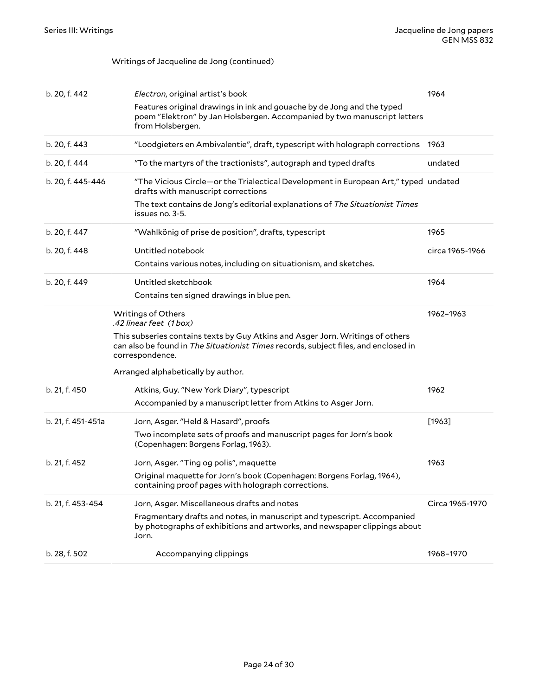#### Writings of Jacqueline de Jong (continued)

<span id="page-23-0"></span>

| b. 20, f. 442      | Electron, original artist's book                                                                                                                                                         | 1964            |
|--------------------|------------------------------------------------------------------------------------------------------------------------------------------------------------------------------------------|-----------------|
|                    | Features original drawings in ink and gouache by de Jong and the typed<br>poem "Elektron" by Jan Holsbergen. Accompanied by two manuscript letters<br>from Holsbergen.                   |                 |
| b. 20, f. 443      | "Loodgieters en Ambivalentie", draft, typescript with holograph corrections 1963                                                                                                         |                 |
| b. 20, f. 444      | "To the martyrs of the tractionists", autograph and typed drafts                                                                                                                         | undated         |
| b. 20, f. 445-446  | "The Vicious Circle-or the Trialectical Development in European Art," typed undated<br>drafts with manuscript corrections                                                                |                 |
|                    | The text contains de Jong's editorial explanations of The Situationist Times<br>issues no. 3-5.                                                                                          |                 |
| b. 20, f. 447      | "Wahlkönig of prise de position", drafts, typescript                                                                                                                                     | 1965            |
| b. 20, f. 448      | Untitled notebook                                                                                                                                                                        | circa 1965-1966 |
|                    | Contains various notes, including on situationism, and sketches.                                                                                                                         |                 |
| b. 20, f. 449      | Untitled sketchbook                                                                                                                                                                      | 1964            |
|                    | Contains ten signed drawings in blue pen.                                                                                                                                                |                 |
|                    | Writings of Others<br>.42 linear feet (1 box)                                                                                                                                            | 1962-1963       |
|                    | This subseries contains texts by Guy Atkins and Asger Jorn. Writings of others<br>can also be found in The Situationist Times records, subject files, and enclosed in<br>correspondence. |                 |
|                    | Arranged alphabetically by author.                                                                                                                                                       |                 |
| b. 21, f. 450      | Atkins, Guy. "New York Diary", typescript                                                                                                                                                | 1962            |
|                    | Accompanied by a manuscript letter from Atkins to Asger Jorn.                                                                                                                            |                 |
| b. 21, f. 451-451a | Jorn, Asger. "Held & Hasard", proofs                                                                                                                                                     | $[1963]$        |
|                    | Two incomplete sets of proofs and manuscript pages for Jorn's book<br>(Copenhagen: Borgens Forlag, 1963).                                                                                |                 |
| b. 21, f. 452      | Jorn, Asger. "Ting og polis", maquette                                                                                                                                                   | 1963            |
|                    | Original maquette for Jorn's book (Copenhagen: Borgens Forlag, 1964),<br>containing proof pages with holograph corrections.                                                              |                 |
| b. 21, f. 453-454  | Jorn, Asger. Miscellaneous drafts and notes                                                                                                                                              | Circa 1965-1970 |
|                    | Fragmentary drafts and notes, in manuscript and typescript. Accompanied<br>by photographs of exhibitions and artworks, and newspaper clippings about<br>Jorn.                            |                 |
| b. 28, f. 502      | Accompanying clippings                                                                                                                                                                   | 1968-1970       |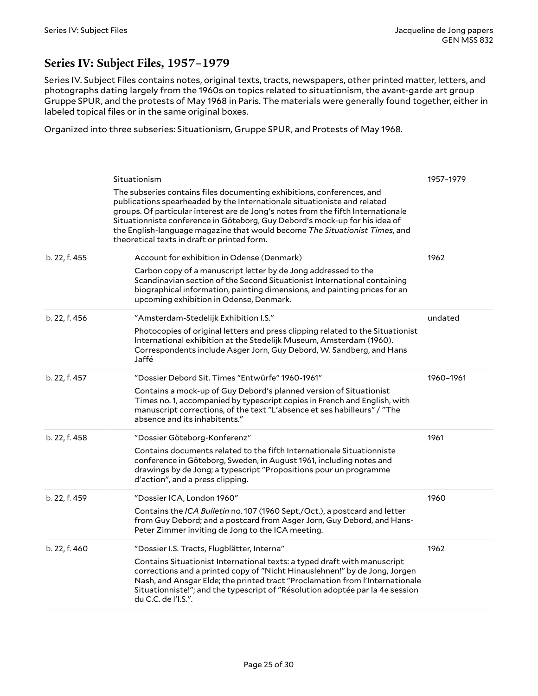## <span id="page-24-0"></span>**Series IV: Subject Files, 1957–1979**

Series IV. Subject Files contains notes, original texts, tracts, newspapers, other printed matter, letters, and photographs dating largely from the 1960s on topics related to situationism, the avant-garde art group Gruppe SPUR, and the protests of May 1968 in Paris. The materials were generally found together, either in labeled topical files or in the same original boxes.

Organized into three subseries: Situationism, Gruppe SPUR, and Protests of May 1968.

<span id="page-24-1"></span>

|               | Situationism                                                                                                                                                                                                                                                                                                                                                                                                                                        | 1957-1979 |
|---------------|-----------------------------------------------------------------------------------------------------------------------------------------------------------------------------------------------------------------------------------------------------------------------------------------------------------------------------------------------------------------------------------------------------------------------------------------------------|-----------|
|               | The subseries contains files documenting exhibitions, conferences, and<br>publications spearheaded by the Internationale situationiste and related<br>groups. Of particular interest are de Jong's notes from the fifth Internationale<br>Situationniste conference in Göteborg, Guy Debord's mock-up for his idea of<br>the English-language magazine that would become The Situationist Times, and<br>theoretical texts in draft or printed form. |           |
| b. 22, f. 455 | Account for exhibition in Odense (Denmark)                                                                                                                                                                                                                                                                                                                                                                                                          | 1962      |
|               | Carbon copy of a manuscript letter by de Jong addressed to the<br>Scandinavian section of the Second Situationist International containing<br>biographical information, painting dimensions, and painting prices for an<br>upcoming exhibition in Odense, Denmark.                                                                                                                                                                                  |           |
| b. 22, f. 456 | "Amsterdam-Stedelijk Exhibition I.S."                                                                                                                                                                                                                                                                                                                                                                                                               | undated   |
|               | Photocopies of original letters and press clipping related to the Situationist<br>International exhibition at the Stedelijk Museum, Amsterdam (1960).<br>Correspondents include Asger Jorn, Guy Debord, W. Sandberg, and Hans<br>Jaffé                                                                                                                                                                                                              |           |
| b. 22, f. 457 | "Dossier Debord Sit. Times "Entwürfe" 1960-1961"                                                                                                                                                                                                                                                                                                                                                                                                    | 1960-1961 |
|               | Contains a mock-up of Guy Debord's planned version of Situationist<br>Times no. 1, accompanied by typescript copies in French and English, with<br>manuscript corrections, of the text "L'absence et ses habilleurs" / "The<br>absence and its inhabitents."                                                                                                                                                                                        |           |
| b. 22, f. 458 | "Dossier Göteborg-Konferenz"                                                                                                                                                                                                                                                                                                                                                                                                                        | 1961      |
|               | Contains documents related to the fifth Internationale Situationniste<br>conference in Göteborg, Sweden, in August 1961, including notes and<br>drawings by de Jong; a typescript "Propositions pour un programme<br>d'action", and a press clipping.                                                                                                                                                                                               |           |
| b. 22, f. 459 | "Dossier ICA, London 1960"                                                                                                                                                                                                                                                                                                                                                                                                                          | 1960      |
|               | Contains the ICA Bulletin no. 107 (1960 Sept./Oct.), a postcard and letter<br>from Guy Debord; and a postcard from Asger Jorn, Guy Debord, and Hans-<br>Peter Zimmer inviting de Jong to the ICA meeting.                                                                                                                                                                                                                                           |           |
| b. 22, f. 460 | "Dossier I.S. Tracts, Flugblätter, Interna"                                                                                                                                                                                                                                                                                                                                                                                                         | 1962      |
|               | Contains Situationist International texts: a typed draft with manuscript<br>corrections and a printed copy of "Nicht Hinauslehnen!" by de Jong, Jorgen<br>Nash, and Ansgar Elde; the printed tract "Proclamation from l'Internationale<br>Situationniste!"; and the typescript of "Résolution adoptée par la 4e session<br>du C.C. de l'I.S.".                                                                                                      |           |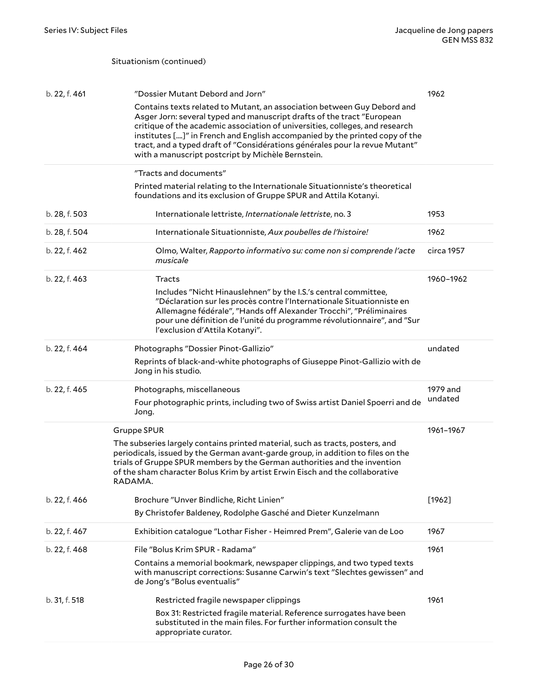Situationism (continued)

<span id="page-25-0"></span>

| b. 22, f. 461 | "Dossier Mutant Debord and Jorn"                                                                                                                                                                                                                                                                                                                                                                                                                     | 1962                |
|---------------|------------------------------------------------------------------------------------------------------------------------------------------------------------------------------------------------------------------------------------------------------------------------------------------------------------------------------------------------------------------------------------------------------------------------------------------------------|---------------------|
|               | Contains texts related to Mutant, an association between Guy Debord and<br>Asger Jorn: several typed and manuscript drafts of the tract "European<br>critique of the academic association of universities, colleges, and research<br>institutes []" in French and English accompanied by the printed copy of the<br>tract, and a typed draft of "Considérations générales pour la revue Mutant"<br>with a manuscript postcript by Michèle Bernstein. |                     |
|               | "Tracts and documents"                                                                                                                                                                                                                                                                                                                                                                                                                               |                     |
|               | Printed material relating to the Internationale Situationniste's theoretical<br>foundations and its exclusion of Gruppe SPUR and Attila Kotanyi.                                                                                                                                                                                                                                                                                                     |                     |
| b. 28, f. 503 | Internationale lettriste, Internationale lettriste, no. 3                                                                                                                                                                                                                                                                                                                                                                                            | 1953                |
| b. 28, f. 504 | Internationale Situationniste, Aux poubelles de l'histoire!                                                                                                                                                                                                                                                                                                                                                                                          | 1962                |
| b. 22, f. 462 | Olmo, Walter, Rapporto informativo su: come non si comprende l'acte<br>musicale                                                                                                                                                                                                                                                                                                                                                                      | circa 1957          |
| b. 22, f. 463 | <b>Tracts</b><br>Includes "Nicht Hinauslehnen" by the I.S.'s central committee,<br>"Déclaration sur les procès contre l'Internationale Situationniste en<br>Allemagne fédérale", "Hands off Alexander Trocchi", "Préliminaires<br>pour une définition de l'unité du programme révolutionnaire", and "Sur<br>l'exclusion d'Attila Kotanyi".                                                                                                           | 1960-1962           |
| b. 22, f. 464 | Photographs "Dossier Pinot-Gallizio"<br>Reprints of black-and-white photographs of Giuseppe Pinot-Gallizio with de<br>Jong in his studio.                                                                                                                                                                                                                                                                                                            | undated             |
| b. 22, f. 465 | Photographs, miscellaneous<br>Four photographic prints, including two of Swiss artist Daniel Spoerri and de<br>Jong.                                                                                                                                                                                                                                                                                                                                 | 1979 and<br>undated |
|               | <b>Gruppe SPUR</b><br>The subseries largely contains printed material, such as tracts, posters, and<br>periodicals, issued by the German avant-garde group, in addition to files on the<br>trials of Gruppe SPUR members by the German authorities and the invention<br>of the sham character Bolus Krim by artist Erwin Eisch and the collaborative<br>RADAMA.                                                                                      | 1961-1967           |
| b. 22, f. 466 | Brochure "Unver Bindliche, Richt Linien"                                                                                                                                                                                                                                                                                                                                                                                                             | [1962]              |
|               | By Christofer Baldeney, Rodolphe Gasché and Dieter Kunzelmann                                                                                                                                                                                                                                                                                                                                                                                        |                     |
| b. 22, f. 467 | Exhibition catalogue "Lothar Fisher - Heimred Prem", Galerie van de Loo                                                                                                                                                                                                                                                                                                                                                                              | 1967                |
| b. 22, f. 468 | File "Bolus Krim SPUR - Radama"                                                                                                                                                                                                                                                                                                                                                                                                                      | 1961                |
|               | Contains a memorial bookmark, newspaper clippings, and two typed texts<br>with manuscript corrections: Susanne Carwin's text "Slechtes gewissen" and<br>de Jong's "Bolus eventualis"                                                                                                                                                                                                                                                                 |                     |
| b. 31, f. 518 | Restricted fragile newspaper clippings                                                                                                                                                                                                                                                                                                                                                                                                               | 1961                |
|               | Box 31: Restricted fragile material. Reference surrogates have been<br>substituted in the main files. For further information consult the<br>appropriate curator.                                                                                                                                                                                                                                                                                    |                     |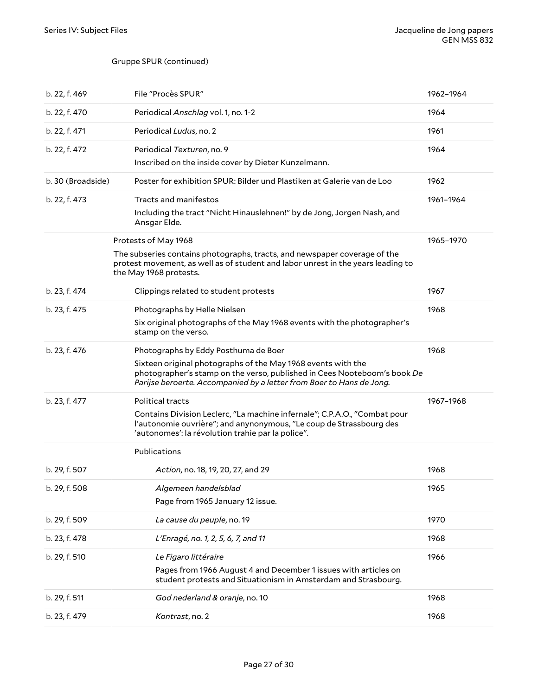#### Gruppe SPUR (continued)

<span id="page-26-0"></span>

| b. 22, f. 469     | File "Procès SPUR"                                                                                                                                                                                               | 1962-1964 |
|-------------------|------------------------------------------------------------------------------------------------------------------------------------------------------------------------------------------------------------------|-----------|
| b. 22, f. 470     | Periodical Anschlag vol. 1, no. 1-2                                                                                                                                                                              | 1964      |
| b. 22, f. 471     | Periodical Ludus, no. 2                                                                                                                                                                                          | 1961      |
| b. 22, f. 472     | Periodical Texturen, no. 9<br>Inscribed on the inside cover by Dieter Kunzelmann.                                                                                                                                | 1964      |
| b. 30 (Broadside) | Poster for exhibition SPUR: Bilder und Plastiken at Galerie van de Loo                                                                                                                                           | 1962      |
| b. 22, f. 473     | Tracts and manifestos                                                                                                                                                                                            | 1961-1964 |
|                   | Including the tract "Nicht Hinauslehnen!" by de Jong, Jorgen Nash, and<br>Ansgar Elde.                                                                                                                           |           |
|                   | Protests of May 1968                                                                                                                                                                                             | 1965-1970 |
|                   | The subseries contains photographs, tracts, and newspaper coverage of the<br>protest movement, as well as of student and labor unrest in the years leading to<br>the May 1968 protests.                          |           |
| b. 23, f. 474     | Clippings related to student protests                                                                                                                                                                            | 1967      |
| b. 23, f. 475     | Photographs by Helle Nielsen                                                                                                                                                                                     | 1968      |
|                   | Six original photographs of the May 1968 events with the photographer's<br>stamp on the verso.                                                                                                                   |           |
| b. 23, f. 476     | Photographs by Eddy Posthuma de Boer                                                                                                                                                                             | 1968      |
|                   | Sixteen original photographs of the May 1968 events with the<br>photographer's stamp on the verso, published in Cees Nooteboom's book De<br>Parijse beroerte. Accompanied by a letter from Boer to Hans de Jong. |           |
| b. 23, f. 477     | Political tracts                                                                                                                                                                                                 | 1967-1968 |
|                   | Contains Division Leclerc, "La machine infernale"; C.P.A.O., "Combat pour<br>l'autonomie ouvrière"; and anynonymous, "Le coup de Strassbourg des<br>'autonomes': la révolution trahie par la police".            |           |
|                   | Publications                                                                                                                                                                                                     |           |
| b. 29, f. 507     | Action, no. 18, 19, 20, 27, and 29                                                                                                                                                                               | 1968      |
| b. 29, f. 508     | Algemeen handelsblad                                                                                                                                                                                             | 1965      |
|                   | Page from 1965 January 12 issue.                                                                                                                                                                                 |           |
| b. 29, f. 509     | La cause du peuple, no. 19                                                                                                                                                                                       | 1970      |
| b. 23, f. 478     | L'Enragé, no. 1, 2, 5, 6, 7, and 11                                                                                                                                                                              | 1968      |
| b. 29, f. 510     | Le Figaro littéraire                                                                                                                                                                                             | 1966      |
|                   | Pages from 1966 August 4 and December 1 issues with articles on<br>student protests and Situationism in Amsterdam and Strasbourg.                                                                                |           |
| b. 29, f. 511     | God nederland & oranje, no. 10                                                                                                                                                                                   | 1968      |
| b. 23, f. 479     | Kontrast, no. 2                                                                                                                                                                                                  | 1968      |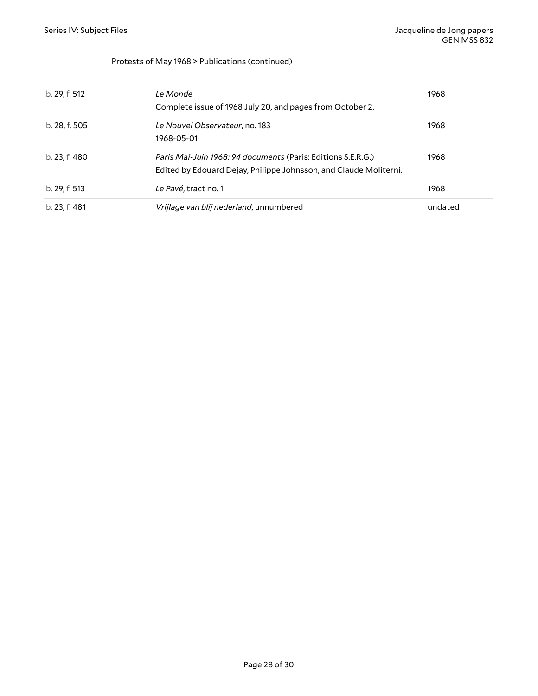#### Protests of May 1968 > Publications (continued)

| b. 29, f. 512 | Le Monde<br>Complete issue of 1968 July 20, and pages from October 2.                                                             | 1968    |
|---------------|-----------------------------------------------------------------------------------------------------------------------------------|---------|
| b. 28, f. 505 | Le Nouvel Observateur, no. 183<br>1968-05-01                                                                                      | 1968    |
| b. 23, f. 480 | Paris Mai-Juin 1968: 94 documents (Paris: Editions S.E.R.G.)<br>Edited by Edouard Dejay, Philippe Johnsson, and Claude Moliterni. | 1968    |
| b. 29, f. 513 | Le Pavé, tract no. 1                                                                                                              | 1968    |
| b. 23. f. 481 | Vrijlage van blij nederland, unnumbered                                                                                           | undated |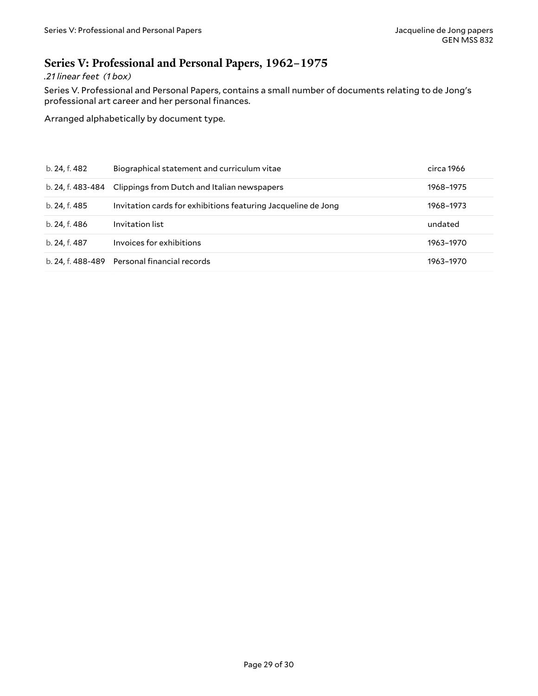### <span id="page-28-0"></span>**Series V: Professional and Personal Papers, 1962–1975**

#### *.21 linear feet (1 box)*

Series V. Professional and Personal Papers, contains a small number of documents relating to de Jong's professional art career and her personal finances.

Arranged alphabetically by document type.

| b. 24, f. 482     | Biographical statement and curriculum vitae                   | circa 1966 |
|-------------------|---------------------------------------------------------------|------------|
| b. 24. f. 483-484 | Clippings from Dutch and Italian newspapers                   | 1968-1975  |
| b. 24, f. 485     | Invitation cards for exhibitions featuring Jacqueline de Jong | 1968-1973  |
| b. 24, f. 486     | Invitation list                                               | undated    |
| b. 24, f. 487     | Invoices for exhibitions                                      | 1963-1970  |
|                   | b. 24, f. 488-489 Personal financial records                  | 1963-1970  |